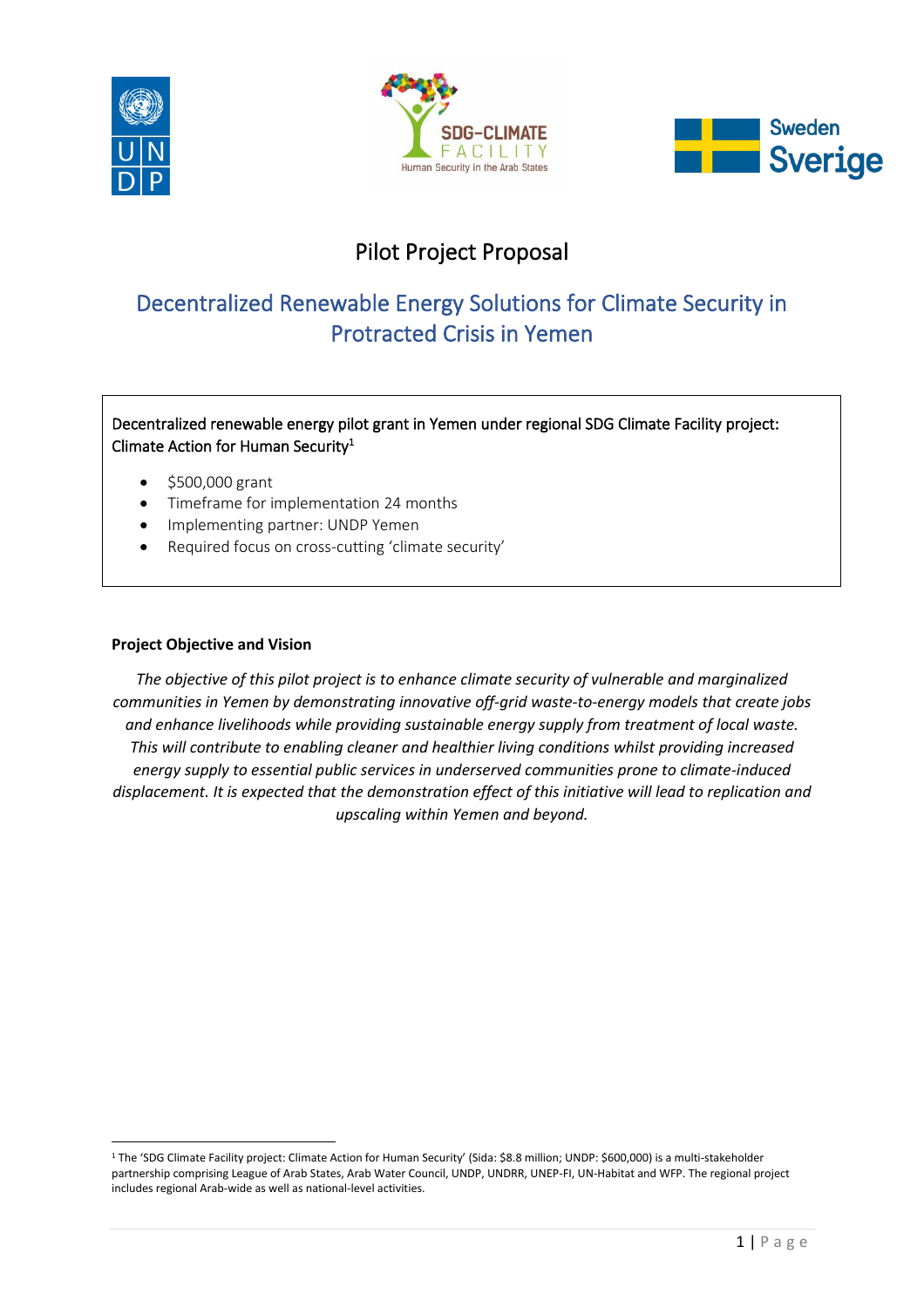

 $\overline{a}$ 





# Pilot Project Proposal

# Decentralized Renewable Energy Solutions for Climate Security in Protracted Crisis in Yemen

# Decentralized renewable energy pilot grant in Yemen under regional SDG Climate Facility project: Climate Action for Human Security $^1$

- $•$  \$500,000 grant
- Timeframe for implementation 24 months
- Implementing partner: UNDP Yemen
- Required focus on cross-cutting 'climate security'

### **Project Objective and Vision**

*The objective of this pilot project is to enhance climate security of vulnerable and marginalized communities in Yemen by demonstrating innovative off-grid waste-to-energy models that create jobs and enhance livelihoods while providing sustainable energy supply from treatment of local waste. This will contribute to enabling cleaner and healthier living conditions whilst providing increased energy supply to essential public services in underserved communities prone to climate-induced displacement. It is expected that the demonstration effect of this initiative will lead to replication and upscaling within Yemen and beyond.*

<sup>1</sup> The 'SDG Climate Facility project: Climate Action for Human Security' (Sida: \$8.8 million; UNDP: \$600,000) is a multi-stakeholder partnership comprising League of Arab States, Arab Water Council, UNDP, UNDRR, UNEP-FI, UN-Habitat and WFP. The regional project includes regional Arab-wide as well as national-level activities.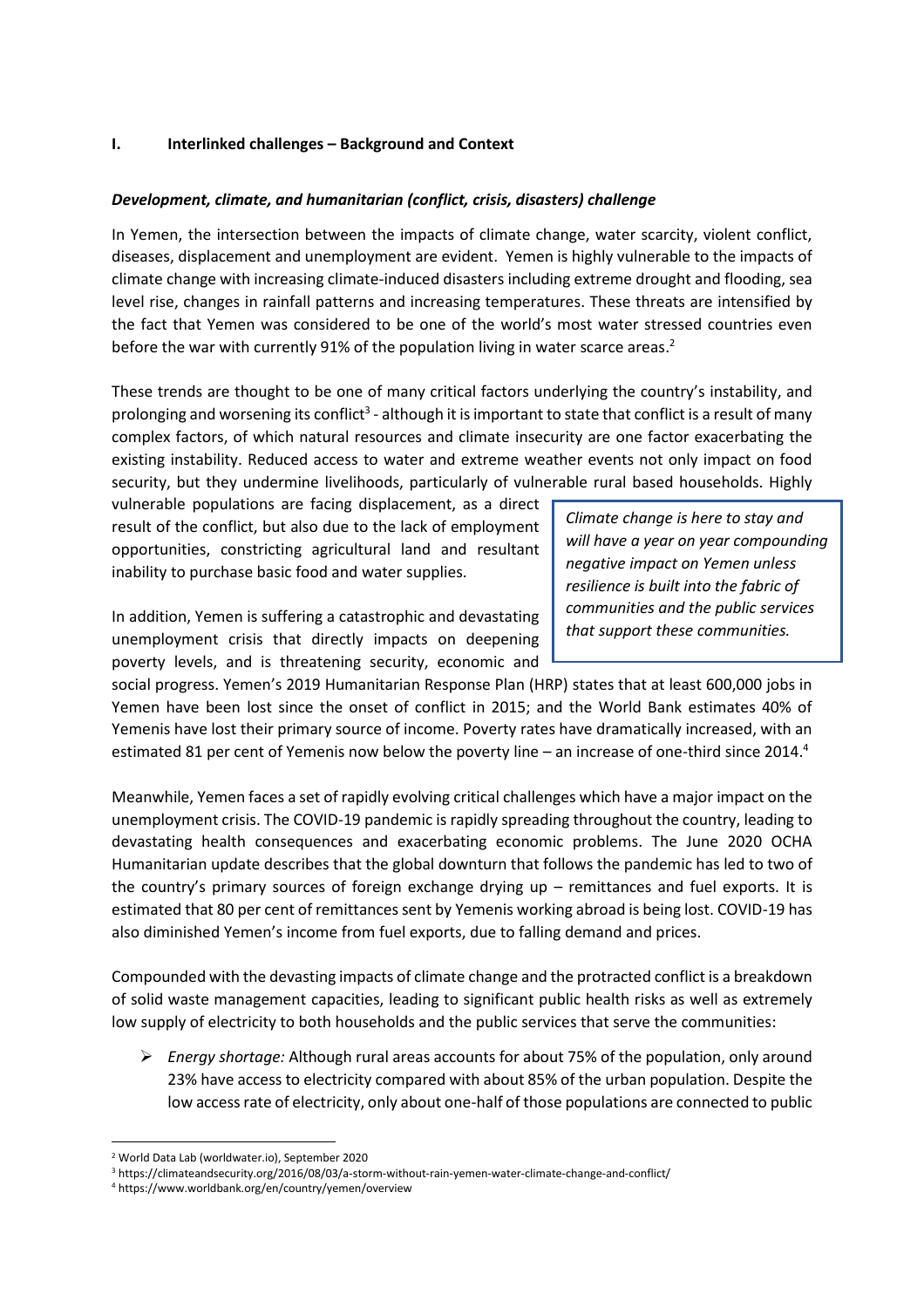#### **I. Interlinked challenges ʹ Background and Context**

### *Development, climate, and humanitarian (conflict, crisis, disasters) challenge*

In Yemen, the intersection between the impacts of climate change, water scarcity, violent conflict, diseases, displacement and unemployment are evident. Yemen is highly vulnerable to the impacts of climate change with increasing climate-induced disasters including extreme drought and flooding, sea level rise, changes in rainfall patterns and increasing temperatures. These threats are intensified by the fact that Yemen was considered to be one of the world's most water stressed countries even before the war with currently 91% of the population living in water scarce areas.<sup>2</sup>

These trends are thought to be one of many critical factors underlying the country's instability, and prolonging and worsening its conflict<sup>3</sup> - although it is important to state that conflict is a result of many complex factors, of which natural resources and climate insecurity are one factor exacerbating the existing instability. Reduced access to water and extreme weather events not only impact on food security, but they undermine livelihoods, particularly of vulnerable rural based households. Highly

vulnerable populations are facing displacement, as a direct result of the conflict, but also due to the lack of employment opportunities, constricting agricultural land and resultant inability to purchase basic food and water supplies.

In addition, Yemen is suffering a catastrophic and devastating unemployment crisis that directly impacts on deepening poverty levels, and is threatening security, economic and *Climate change is here to stay and will have a year on year compounding negative impact on Yemen unless resilience is built into the fabric of communities and the public services that support these communities.*

social progress. Yemen's 2019 Humanitarian Response Plan (HRP) states that at least 600,000 jobs in Yemen have been lost since the onset of conflict in 2015; and the World Bank estimates 40% of Yemenis have lost their primary source of income. Poverty rates have dramatically increased, with an estimated 81 per cent of Yemenis now below the poverty line – an increase of one-third since 2014.<sup>4</sup>

Meanwhile, Yemen faces a set of rapidly evolving critical challenges which have a major impact on the unemployment crisis. The COVID-19 pandemic is rapidly spreading throughout the country, leading to devastating health consequences and exacerbating economic problems. The June 2020 OCHA Humanitarian update describes that the global downturn that follows the pandemic has led to two of the country's primary sources of foreign exchange drying up – remittances and fuel exports. It is estimated that 80 per cent of remittances sent by Yemenis working abroad is being lost. COVID-19 has also diminished Yemen's income from fuel exports, due to falling demand and prices.

Compounded with the devasting impacts of climate change and the protracted conflict is a breakdown of solid waste management capacities, leading to significant public health risks as well as extremely low supply of electricity to both households and the public services that serve the communities:

¾ *Energy shortage:* Although rural areas accounts for about 75% of the population, only around 23% have access to electricity compared with about 85% of the urban population. Despite the low access rate of electricity, only about one-half of those populations are connected to public

<sup>2</sup> World Data Lab (worldwater.io), September 2020

<sup>3</sup> https://climateandsecurity.org/2016/08/03/a-storm-without-rain-yemen-water-climate-change-and-conflict/

<sup>4</sup> https://www.worldbank.org/en/country/yemen/overview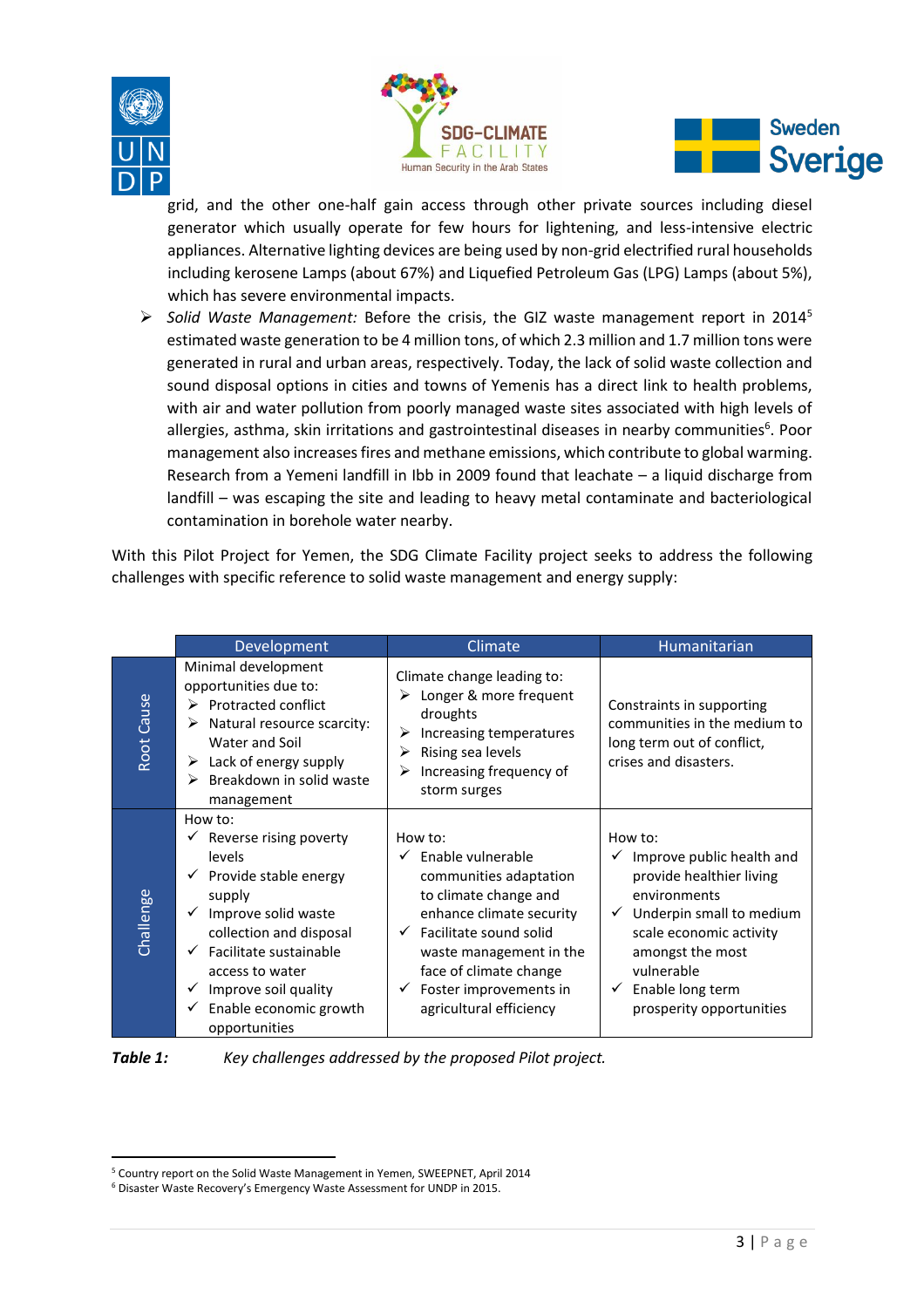





grid, and the other one-half gain access through other private sources including diesel generator which usually operate for few hours for lightening, and less-intensive electric appliances. Alternative lighting devices are being used by non-grid electrified rural households including kerosene Lamps (about 67%) and Liquefied Petroleum Gas (LPG) Lamps (about 5%), which has severe environmental impacts.

¾ *Solid Waste Management:* Before the crisis, the GIZ waste management report in 20145 estimated waste generation to be 4 million tons, of which 2.3 million and 1.7 million tons were generated in rural and urban areas, respectively. Today, the lack of solid waste collection and sound disposal options in cities and towns of Yemenis has a direct link to health problems, with air and water pollution from poorly managed waste sites associated with high levels of allergies, asthma, skin irritations and gastrointestinal diseases in nearby communities<sup>6</sup>. Poor management also increases fires and methane emissions, which contribute to global warming. Research from a Yemeni landfill in Ibb in 2009 found that leachate – a liquid discharge from landfill – was escaping the site and leading to heavy metal contaminate and bacteriological contamination in borehole water nearby.

With this Pilot Project for Yemen, the SDG Climate Facility project seeks to address the following challenges with specific reference to solid waste management and energy supply:

|               | Development                                                                                                                                                                                                                                                                        | Climate                                                                                                                                                                                                                                                      | Humanitarian                                                                                                                                                                                                              |
|---------------|------------------------------------------------------------------------------------------------------------------------------------------------------------------------------------------------------------------------------------------------------------------------------------|--------------------------------------------------------------------------------------------------------------------------------------------------------------------------------------------------------------------------------------------------------------|---------------------------------------------------------------------------------------------------------------------------------------------------------------------------------------------------------------------------|
| Cause<br>Root | Minimal development<br>opportunities due to:<br>$\triangleright$ Protracted conflict<br>$\triangleright$ Natural resource scarcity:<br>Water and Soil<br>$\triangleright$ Lack of energy supply<br>$\triangleright$ Breakdown in solid waste<br>management                         | Climate change leading to:<br>Longer & more frequent<br>droughts<br>Increasing temperatures<br>➤<br>Rising sea levels<br>⋗<br>Increasing frequency of<br>storm surges                                                                                        | Constraints in supporting<br>communities in the medium to<br>long term out of conflict,<br>crises and disasters.                                                                                                          |
| Challenge     | How to:<br>$\checkmark$ Reverse rising poverty<br>levels<br>Provide stable energy<br>supply<br>Improve solid waste<br>$\checkmark$<br>collection and disposal<br>Facilitate sustainable<br>access to water<br>Improve soil quality<br>✓<br>Enable economic growth<br>opportunities | How to:<br>Enable vulnerable<br>communities adaptation<br>to climate change and<br>enhance climate security<br>$\checkmark$ Facilitate sound solid<br>waste management in the<br>face of climate change<br>Foster improvements in<br>agricultural efficiency | How to:<br>Improve public health and<br>provide healthier living<br>environments<br>Underpin small to medium<br>scale economic activity<br>amongst the most<br>vulnerable<br>Enable long term<br>prosperity opportunities |



*Table 1: Key challenges addressed by the proposed Pilot project.*

<sup>5</sup> Country report on the Solid Waste Management in Yemen, SWEEPNET, April 2014

<sup>&</sup>lt;sup>6</sup> Disaster Waste Recovery's Emergency Waste Assessment for UNDP in 2015.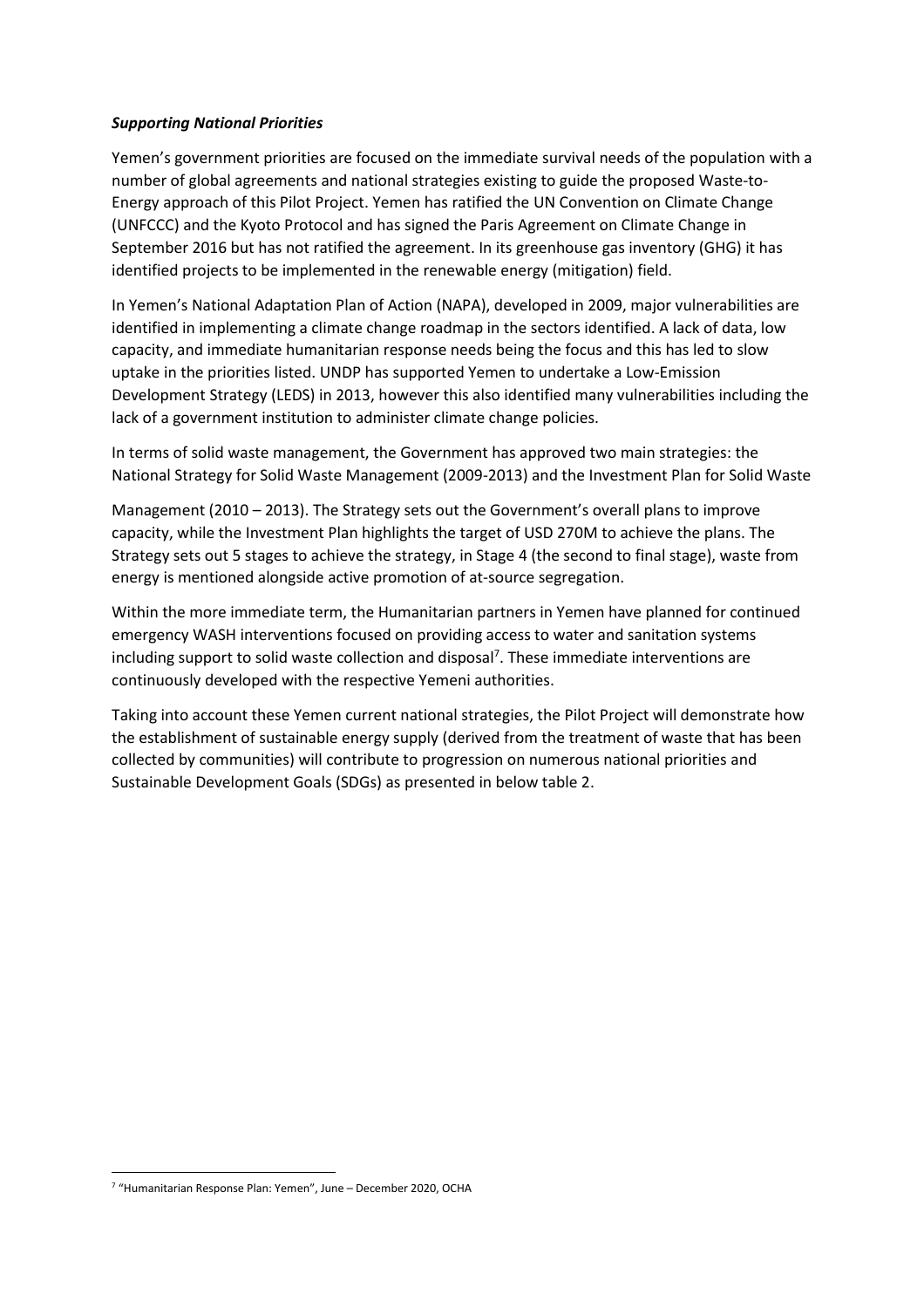#### *Supporting National Priorities*

Yemen's government priorities are focused on the immediate survival needs of the population with a number of global agreements and national strategies existing to guide the proposed Waste-to-Energy approach of this Pilot Project. Yemen has ratified the UN Convention on Climate Change (UNFCCC) and the Kyoto Protocol and has signed the Paris Agreement on Climate Change in September 2016 but has not ratified the agreement. In its greenhouse gas inventory (GHG) it has identified projects to be implemented in the renewable energy (mitigation) field.

In Yemen's National Adaptation Plan of Action (NAPA), developed in 2009, major vulnerabilities are identified in implementing a climate change roadmap in the sectors identified. A lack of data, low capacity, and immediate humanitarian response needs being the focus and this has led to slow uptake in the priorities listed. UNDP has supported Yemen to undertake a Low-Emission Development Strategy (LEDS) in 2013, however this also identified many vulnerabilities including the lack of a government institution to administer climate change policies.

In terms of solid waste management, the Government has approved two main strategies: the National Strategy for Solid Waste Management (2009-2013) and the Investment Plan for Solid Waste

Management (2010 – 2013). The Strategy sets out the Government's overall plans to improve capacity, while the Investment Plan highlights the target of USD 270M to achieve the plans. The Strategy sets out 5 stages to achieve the strategy, in Stage 4 (the second to final stage), waste from energy is mentioned alongside active promotion of at-source segregation.

Within the more immediate term, the Humanitarian partners in Yemen have planned for continued emergency WASH interventions focused on providing access to water and sanitation systems including support to solid waste collection and disposal<sup>7</sup>. These immediate interventions are continuously developed with the respective Yemeni authorities.

Taking into account these Yemen current national strategies, the Pilot Project will demonstrate how the establishment of sustainable energy supply (derived from the treatment of waste that has been collected by communities) will contribute to progression on numerous national priorities and Sustainable Development Goals (SDGs) as presented in below table 2.

<sup>7</sup> "Humanitarian Response Plan: Yemen", June – December 2020, OCHA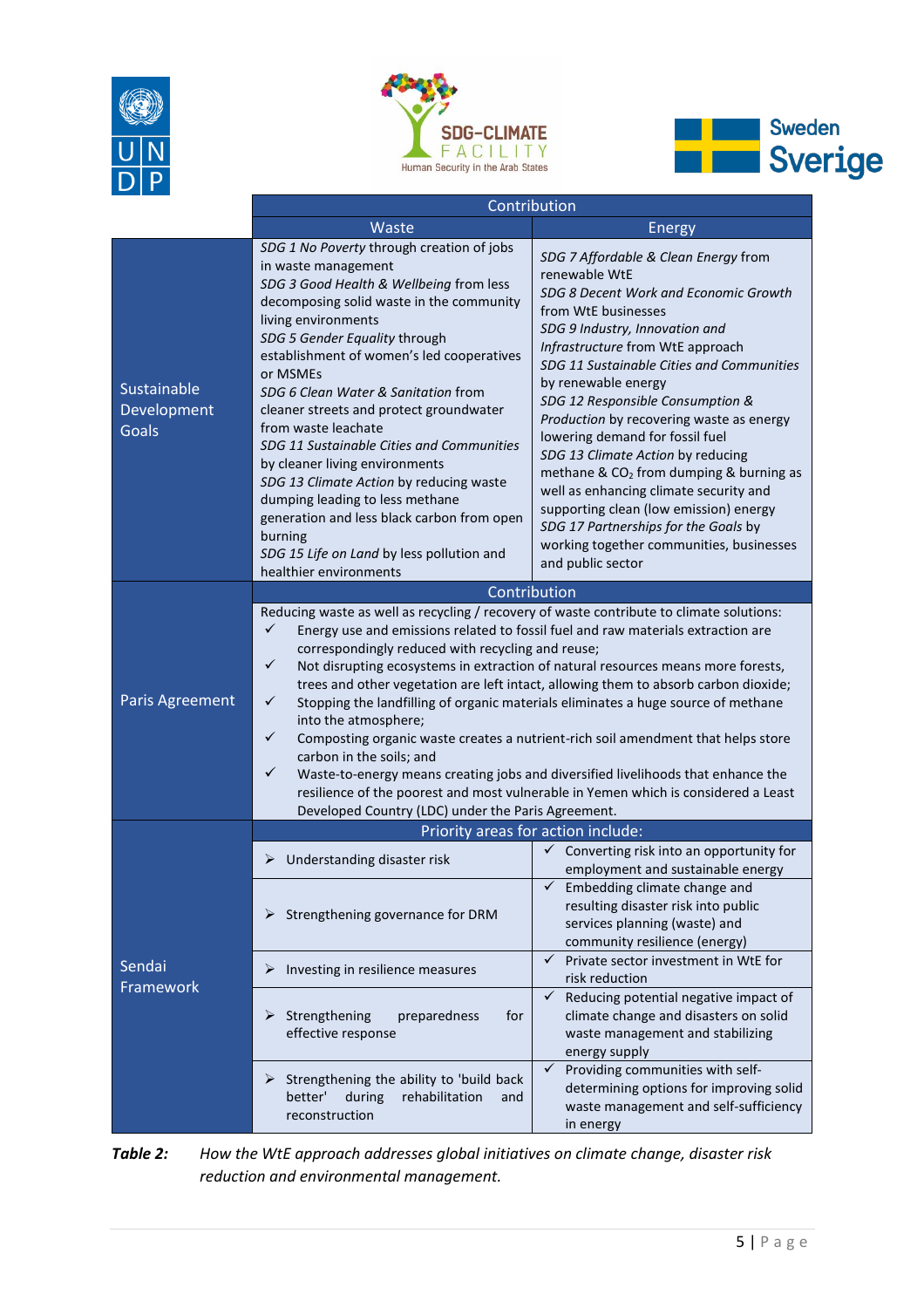





|                                            | Contribution                                                                                                                                                                                                                                                                                                                                                                                                                                                                                                                                                                                                                                                                   |                                                                                                                                                                                                                                                                                                                                                                                                                                                                                                                                                                                                                                                                             |
|--------------------------------------------|--------------------------------------------------------------------------------------------------------------------------------------------------------------------------------------------------------------------------------------------------------------------------------------------------------------------------------------------------------------------------------------------------------------------------------------------------------------------------------------------------------------------------------------------------------------------------------------------------------------------------------------------------------------------------------|-----------------------------------------------------------------------------------------------------------------------------------------------------------------------------------------------------------------------------------------------------------------------------------------------------------------------------------------------------------------------------------------------------------------------------------------------------------------------------------------------------------------------------------------------------------------------------------------------------------------------------------------------------------------------------|
|                                            | Waste                                                                                                                                                                                                                                                                                                                                                                                                                                                                                                                                                                                                                                                                          | <b>Energy</b>                                                                                                                                                                                                                                                                                                                                                                                                                                                                                                                                                                                                                                                               |
| Sustainable<br>Development<br><b>Goals</b> | SDG 1 No Poverty through creation of jobs<br>in waste management<br>SDG 3 Good Health & Wellbeing from less<br>decomposing solid waste in the community<br>living environments<br>SDG 5 Gender Equality through<br>establishment of women's led cooperatives<br>or MSMEs<br>SDG 6 Clean Water & Sanitation from<br>cleaner streets and protect groundwater<br>from waste leachate<br>SDG 11 Sustainable Cities and Communities<br>by cleaner living environments<br>SDG 13 Climate Action by reducing waste<br>dumping leading to less methane<br>generation and less black carbon from open<br>burning<br>SDG 15 Life on Land by less pollution and<br>healthier environments | SDG 7 Affordable & Clean Energy from<br>renewable WtE<br>SDG 8 Decent Work and Economic Growth<br>from WtE businesses<br>SDG 9 Industry, Innovation and<br>Infrastructure from WtE approach<br>SDG 11 Sustainable Cities and Communities<br>by renewable energy<br>SDG 12 Responsible Consumption &<br>Production by recovering waste as energy<br>lowering demand for fossil fuel<br>SDG 13 Climate Action by reducing<br>methane & CO <sub>2</sub> from dumping & burning as<br>well as enhancing climate security and<br>supporting clean (low emission) energy<br>SDG 17 Partnerships for the Goals by<br>working together communities, businesses<br>and public sector |
|                                            | Contribution                                                                                                                                                                                                                                                                                                                                                                                                                                                                                                                                                                                                                                                                   |                                                                                                                                                                                                                                                                                                                                                                                                                                                                                                                                                                                                                                                                             |
| Paris Agreement                            | Reducing waste as well as recycling / recovery of waste contribute to climate solutions:<br>$\checkmark$<br>correspondingly reduced with recycling and reuse;<br>$\checkmark$<br>$\checkmark$<br>into the atmosphere;<br>$\checkmark$<br>carbon in the soils; and<br>$\checkmark$<br>Developed Country (LDC) under the Paris Agreement.                                                                                                                                                                                                                                                                                                                                        | Energy use and emissions related to fossil fuel and raw materials extraction are<br>Not disrupting ecosystems in extraction of natural resources means more forests,<br>trees and other vegetation are left intact, allowing them to absorb carbon dioxide;<br>Stopping the landfilling of organic materials eliminates a huge source of methane<br>Composting organic waste creates a nutrient-rich soil amendment that helps store<br>Waste-to-energy means creating jobs and diversified livelihoods that enhance the<br>resilience of the poorest and most vulnerable in Yemen which is considered a Least                                                              |
|                                            | Priority areas for action include:                                                                                                                                                                                                                                                                                                                                                                                                                                                                                                                                                                                                                                             |                                                                                                                                                                                                                                                                                                                                                                                                                                                                                                                                                                                                                                                                             |
|                                            | Understanding disaster risk<br>➤<br>$\triangleright$ Strengthening governance for DRM                                                                                                                                                                                                                                                                                                                                                                                                                                                                                                                                                                                          | $\checkmark$ Converting risk into an opportunity for<br>employment and sustainable energy<br>$\checkmark$ Embedding climate change and<br>resulting disaster risk into public<br>services planning (waste) and<br>community resilience (energy)                                                                                                                                                                                                                                                                                                                                                                                                                             |
| Sendai<br>Framework                        | Investing in resilience measures<br>➤                                                                                                                                                                                                                                                                                                                                                                                                                                                                                                                                                                                                                                          | Private sector investment in WtE for<br>$\checkmark$<br>risk reduction                                                                                                                                                                                                                                                                                                                                                                                                                                                                                                                                                                                                      |
|                                            | Strengthening<br>≻<br>preparedness<br>for<br>effective response                                                                                                                                                                                                                                                                                                                                                                                                                                                                                                                                                                                                                | Reducing potential negative impact of<br>$\checkmark$<br>climate change and disasters on solid<br>waste management and stabilizing<br>energy supply                                                                                                                                                                                                                                                                                                                                                                                                                                                                                                                         |
|                                            | Strengthening the ability to 'build back<br>≻<br>during<br>rehabilitation<br>better'<br>and<br>reconstruction                                                                                                                                                                                                                                                                                                                                                                                                                                                                                                                                                                  | Providing communities with self-<br>✓<br>determining options for improving solid<br>waste management and self-sufficiency<br>in energy                                                                                                                                                                                                                                                                                                                                                                                                                                                                                                                                      |

*Table 2: How the WtE approach addresses global initiatives on climate change, disaster risk reduction and environmental management.*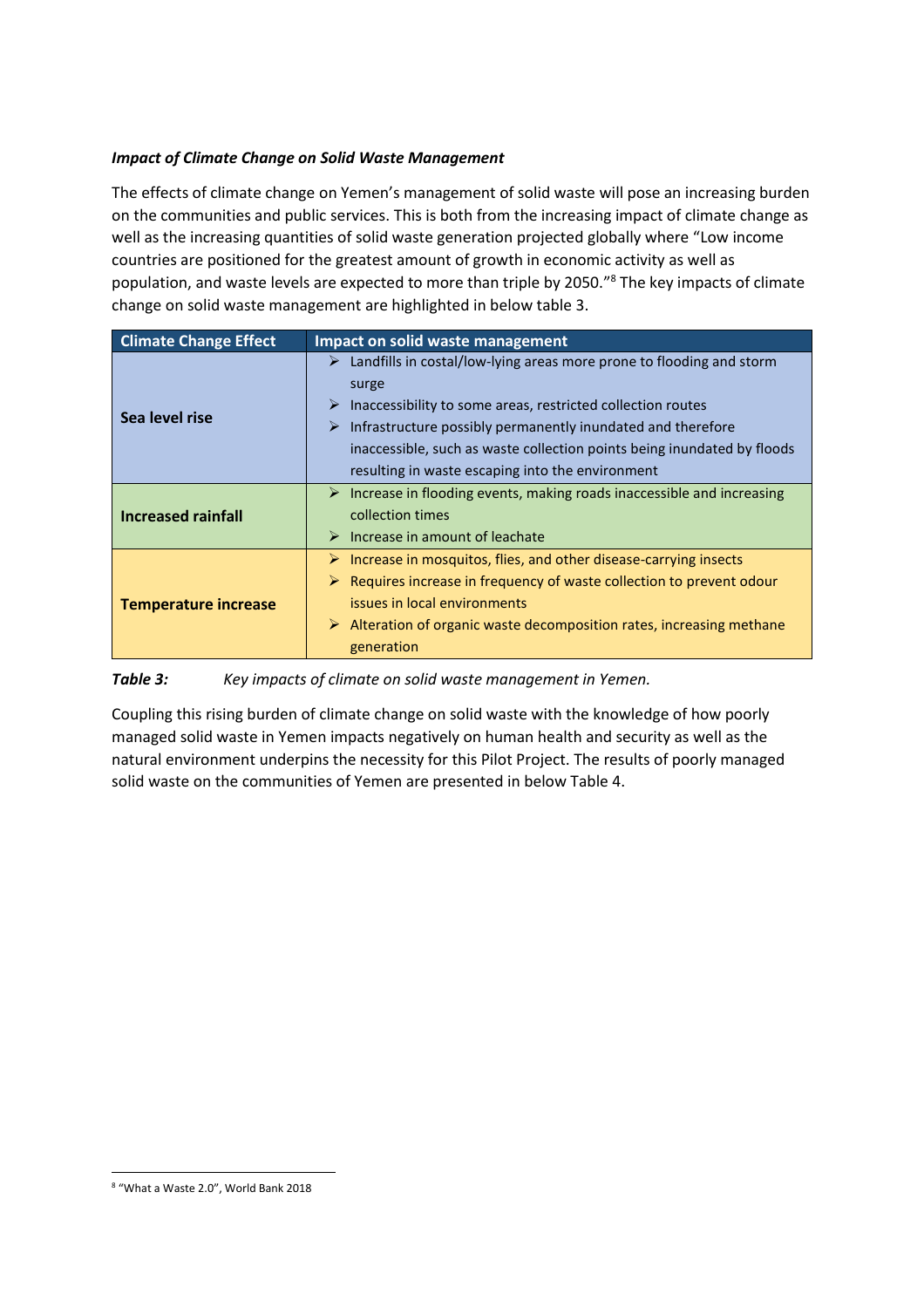# *Impact of Climate Change on Solid Waste Management*

The effects of climate change on Yemen's management of solid waste will pose an increasing burden on the communities and public services. This is both from the increasing impact of climate change as well as the increasing quantities of solid waste generation projected globally where "Low income countries are positioned for the greatest amount of growth in economic activity as well as population, and waste levels are expected to more than triple by 2050."<sup>8</sup> The key impacts of climate change on solid waste management are highlighted in below table 3.

| <b>Climate Change Effect</b> | Impact on solid waste management                                                                                                                                                                                                                                                                                                                                      |
|------------------------------|-----------------------------------------------------------------------------------------------------------------------------------------------------------------------------------------------------------------------------------------------------------------------------------------------------------------------------------------------------------------------|
| Sea level rise               | $\triangleright$ Landfills in costal/low-lying areas more prone to flooding and storm<br>surge<br>Inaccessibility to some areas, restricted collection routes<br>➤<br>Infrastructure possibly permanently inundated and therefore<br>➤<br>inaccessible, such as waste collection points being inundated by floods<br>resulting in waste escaping into the environment |
| <b>Increased rainfall</b>    | $\triangleright$ Increase in flooding events, making roads inaccessible and increasing<br>collection times<br>$\triangleright$ Increase in amount of leachate                                                                                                                                                                                                         |
| <b>Temperature increase</b>  | $\triangleright$ Increase in mosquitos, flies, and other disease-carrying insects<br>$\triangleright$ Requires increase in frequency of waste collection to prevent odour<br>issues in local environments<br>$\triangleright$ Alteration of organic waste decomposition rates, increasing methane<br>generation                                                       |

#### *Table 3: Key impacts of climate on solid waste management in Yemen.*

Coupling this rising burden of climate change on solid waste with the knowledge of how poorly managed solid waste in Yemen impacts negatively on human health and security as well as the natural environment underpins the necessity for this Pilot Project. The results of poorly managed solid waste on the communities of Yemen are presented in below Table 4.

<sup>8 &</sup>quot;What a Waste 2.0", World Bank 2018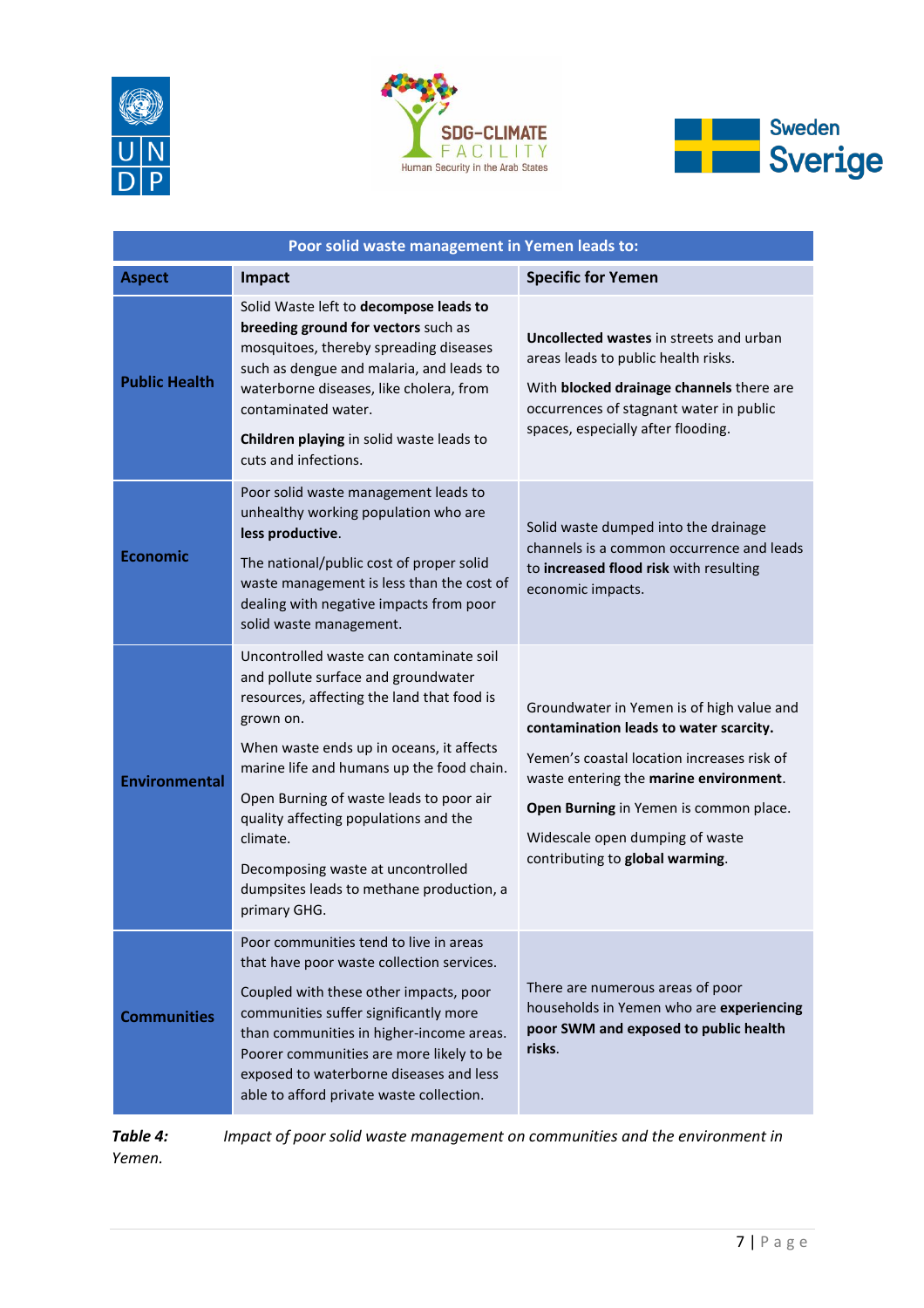





|                      | Poor solid waste management in Yemen leads to:                                                                                                                                                                                                                                                                                                                                                                                      |                                                                                                                                                                                                                                                                                             |
|----------------------|-------------------------------------------------------------------------------------------------------------------------------------------------------------------------------------------------------------------------------------------------------------------------------------------------------------------------------------------------------------------------------------------------------------------------------------|---------------------------------------------------------------------------------------------------------------------------------------------------------------------------------------------------------------------------------------------------------------------------------------------|
| <b>Aspect</b>        | Impact                                                                                                                                                                                                                                                                                                                                                                                                                              | <b>Specific for Yemen</b>                                                                                                                                                                                                                                                                   |
| <b>Public Health</b> | Solid Waste left to decompose leads to<br>breeding ground for vectors such as<br>mosquitoes, thereby spreading diseases<br>such as dengue and malaria, and leads to<br>waterborne diseases, like cholera, from<br>contaminated water.<br>Children playing in solid waste leads to<br>cuts and infections.                                                                                                                           | <b>Uncollected wastes in streets and urban</b><br>areas leads to public health risks.<br>With blocked drainage channels there are<br>occurrences of stagnant water in public<br>spaces, especially after flooding.                                                                          |
| <b>Economic</b>      | Poor solid waste management leads to<br>unhealthy working population who are<br>less productive.<br>The national/public cost of proper solid<br>waste management is less than the cost of<br>dealing with negative impacts from poor<br>solid waste management.                                                                                                                                                                     | Solid waste dumped into the drainage<br>channels is a common occurrence and leads<br>to increased flood risk with resulting<br>economic impacts.                                                                                                                                            |
| <b>Environmental</b> | Uncontrolled waste can contaminate soil<br>and pollute surface and groundwater<br>resources, affecting the land that food is<br>grown on.<br>When waste ends up in oceans, it affects<br>marine life and humans up the food chain.<br>Open Burning of waste leads to poor air<br>quality affecting populations and the<br>climate.<br>Decomposing waste at uncontrolled<br>dumpsites leads to methane production, a<br>primary GHG. | Groundwater in Yemen is of high value and<br>contamination leads to water scarcity.<br>Yemen's coastal location increases risk of<br>waste entering the marine environment.<br>Open Burning in Yemen is common place.<br>Widescale open dumping of waste<br>contributing to global warming. |
| <b>Communities</b>   | Poor communities tend to live in areas<br>that have poor waste collection services.<br>Coupled with these other impacts, poor<br>communities suffer significantly more<br>than communities in higher-income areas.<br>Poorer communities are more likely to be<br>exposed to waterborne diseases and less<br>able to afford private waste collection.                                                                               | There are numerous areas of poor<br>households in Yemen who are experiencing<br>poor SWM and exposed to public health<br>risks.                                                                                                                                                             |

*Table 4: Impact of poor solid waste management on communities and the environment in Yemen.*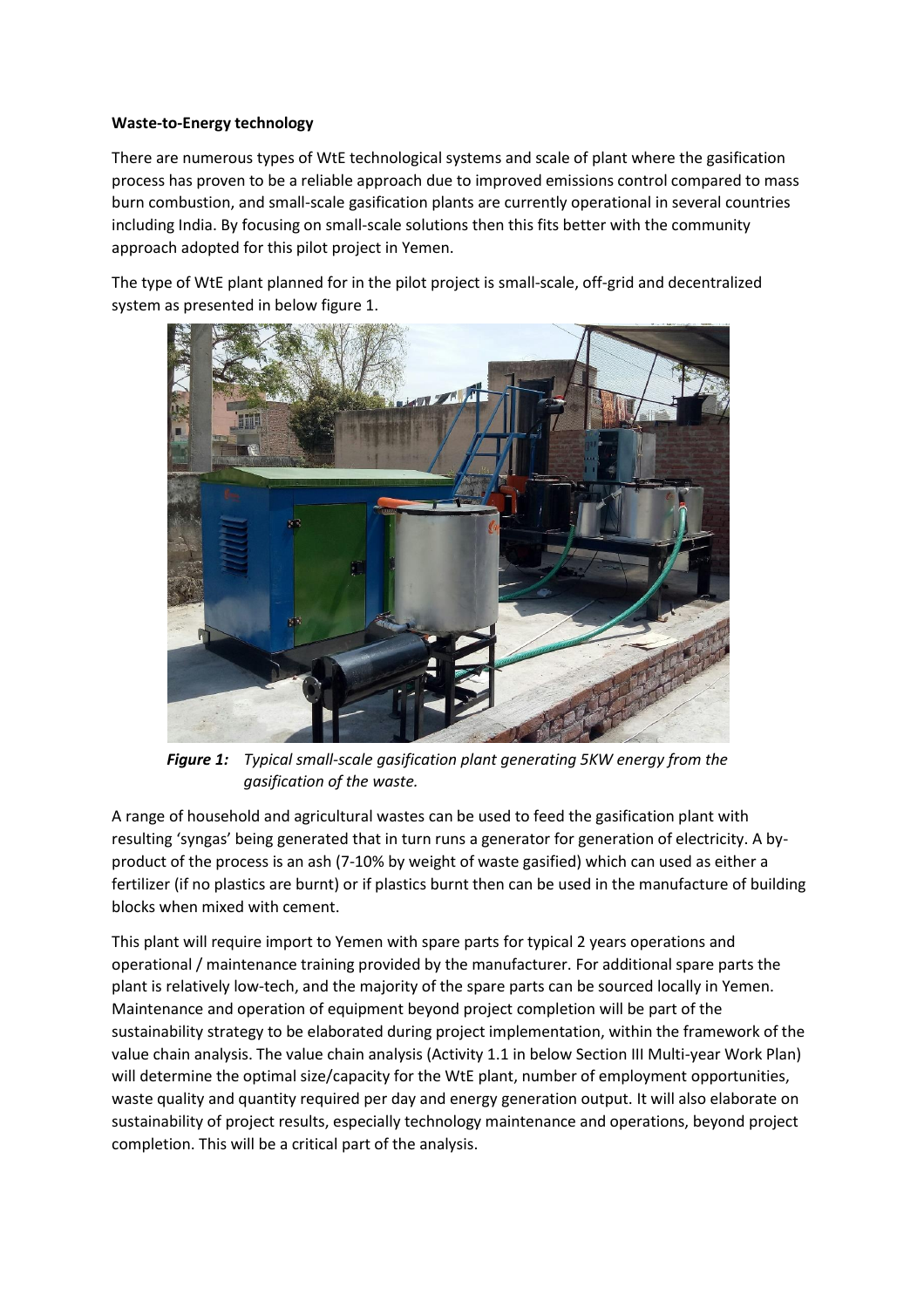### **Waste-to-Energy technology**

There are numerous types of WtE technological systems and scale of plant where the gasification process has proven to be a reliable approach due to improved emissions control compared to mass burn combustion, and small-scale gasification plants are currently operational in several countries including India. By focusing on small-scale solutions then this fits better with the community approach adopted for this pilot project in Yemen.

The type of WtE plant planned for in the pilot project is small-scale, off-grid and decentralized system as presented in below figure 1.



*Figure 1: Typical small-scale gasification plant generating 5KW energy from the gasification of the waste.*

A range of household and agricultural wastes can be used to feed the gasification plant with resulting 'syngas' being generated that in turn runs a generator for generation of electricity. A byproduct of the process is an ash (7-10% by weight of waste gasified) which can used as either a fertilizer (if no plastics are burnt) or if plastics burnt then can be used in the manufacture of building blocks when mixed with cement.

This plant will require import to Yemen with spare parts for typical 2 years operations and operational / maintenance training provided by the manufacturer. For additional spare parts the plant is relatively low-tech, and the majority of the spare parts can be sourced locally in Yemen. Maintenance and operation of equipment beyond project completion will be part of the sustainability strategy to be elaborated during project implementation, within the framework of the value chain analysis. The value chain analysis (Activity 1.1 in below Section III Multi-year Work Plan) will determine the optimal size/capacity for the WtE plant, number of employment opportunities, waste quality and quantity required per day and energy generation output. It will also elaborate on sustainability of project results, especially technology maintenance and operations, beyond project completion. This will be a critical part of the analysis.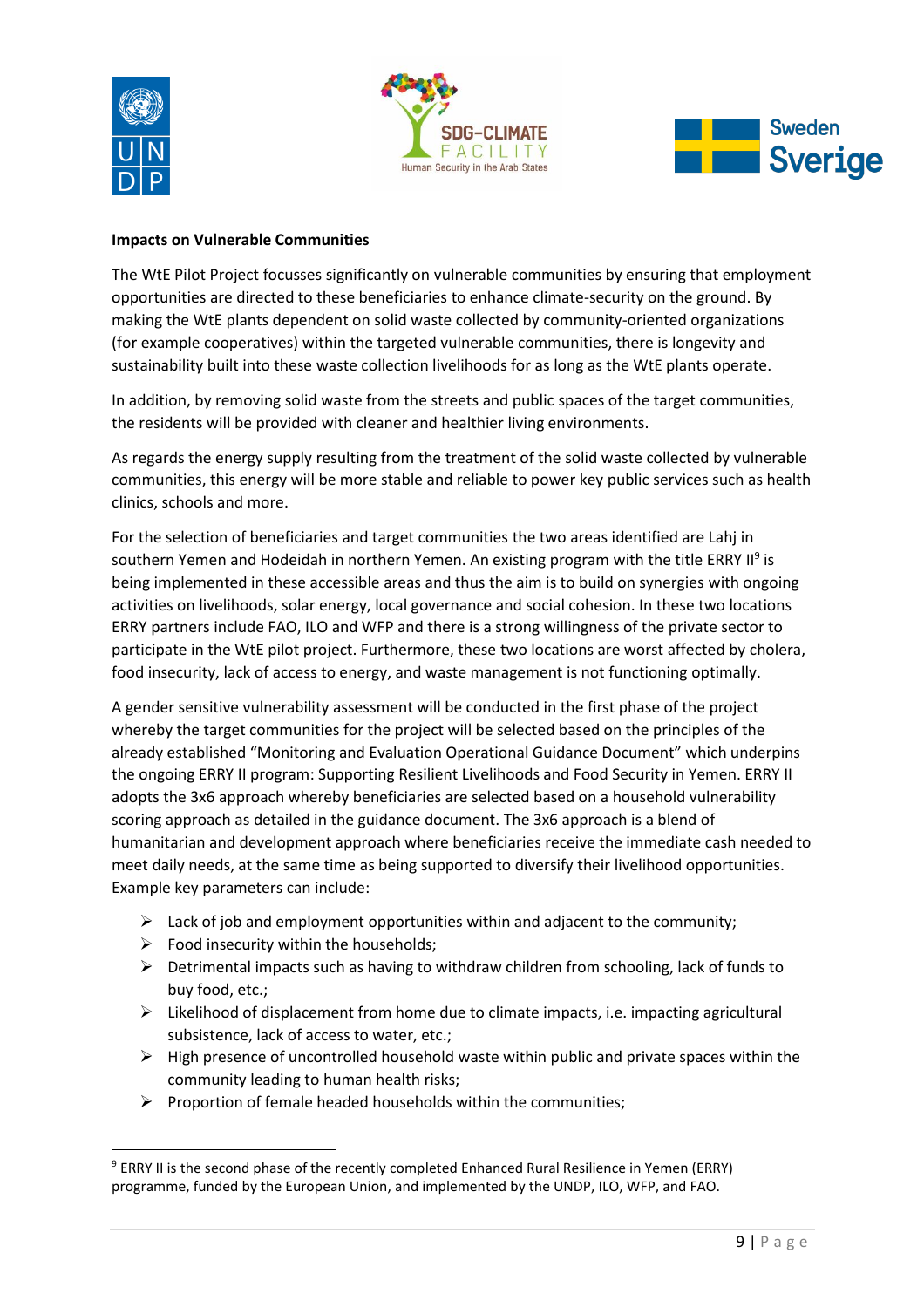





### **Impacts on Vulnerable Communities**

The WtE Pilot Project focusses significantly on vulnerable communities by ensuring that employment opportunities are directed to these beneficiaries to enhance climate-security on the ground. By making the WtE plants dependent on solid waste collected by community-oriented organizations (for example cooperatives) within the targeted vulnerable communities, there is longevity and sustainability built into these waste collection livelihoods for as long as the WtE plants operate.

In addition, by removing solid waste from the streets and public spaces of the target communities, the residents will be provided with cleaner and healthier living environments.

As regards the energy supply resulting from the treatment of the solid waste collected by vulnerable communities, this energy will be more stable and reliable to power key public services such as health clinics, schools and more.

For the selection of beneficiaries and target communities the two areas identified are Lahj in southern Yemen and Hodeidah in northern Yemen. An existing program with the title ERRY II<sup>9</sup> is being implemented in these accessible areas and thus the aim is to build on synergies with ongoing activities on livelihoods, solar energy, local governance and social cohesion. In these two locations ERRY partners include FAO, ILO and WFP and there is a strong willingness of the private sector to participate in the WtE pilot project. Furthermore, these two locations are worst affected by cholera, food insecurity, lack of access to energy, and waste management is not functioning optimally.

A gender sensitive vulnerability assessment will be conducted in the first phase of the project whereby the target communities for the project will be selected based on the principles of the already established "Monitoring and Evaluation Operational Guidance Document" which underpins the ongoing ERRY II program: Supporting Resilient Livelihoods and Food Security in Yemen. ERRY II adopts the 3x6 approach whereby beneficiaries are selected based on a household vulnerability scoring approach as detailed in the guidance document. The 3x6 approach is a blend of humanitarian and development approach where beneficiaries receive the immediate cash needed to meet daily needs, at the same time as being supported to diversify their livelihood opportunities. Example key parameters can include:

- $\triangleright$  Lack of job and employment opportunities within and adjacent to the community;
- $\triangleright$  Food insecurity within the households;
- $\triangleright$  Detrimental impacts such as having to withdraw children from schooling, lack of funds to buy food, etc.;
- $\triangleright$  Likelihood of displacement from home due to climate impacts, i.e. impacting agricultural subsistence, lack of access to water, etc.;
- $\triangleright$  High presence of uncontrolled household waste within public and private spaces within the community leading to human health risks;
- $\triangleright$  Proportion of female headed households within the communities;

<sup>9</sup> ERRY II is the second phase of the recently completed Enhanced Rural Resilience in Yemen (ERRY) programme, funded by the European Union, and implemented by the UNDP, ILO, WFP, and FAO.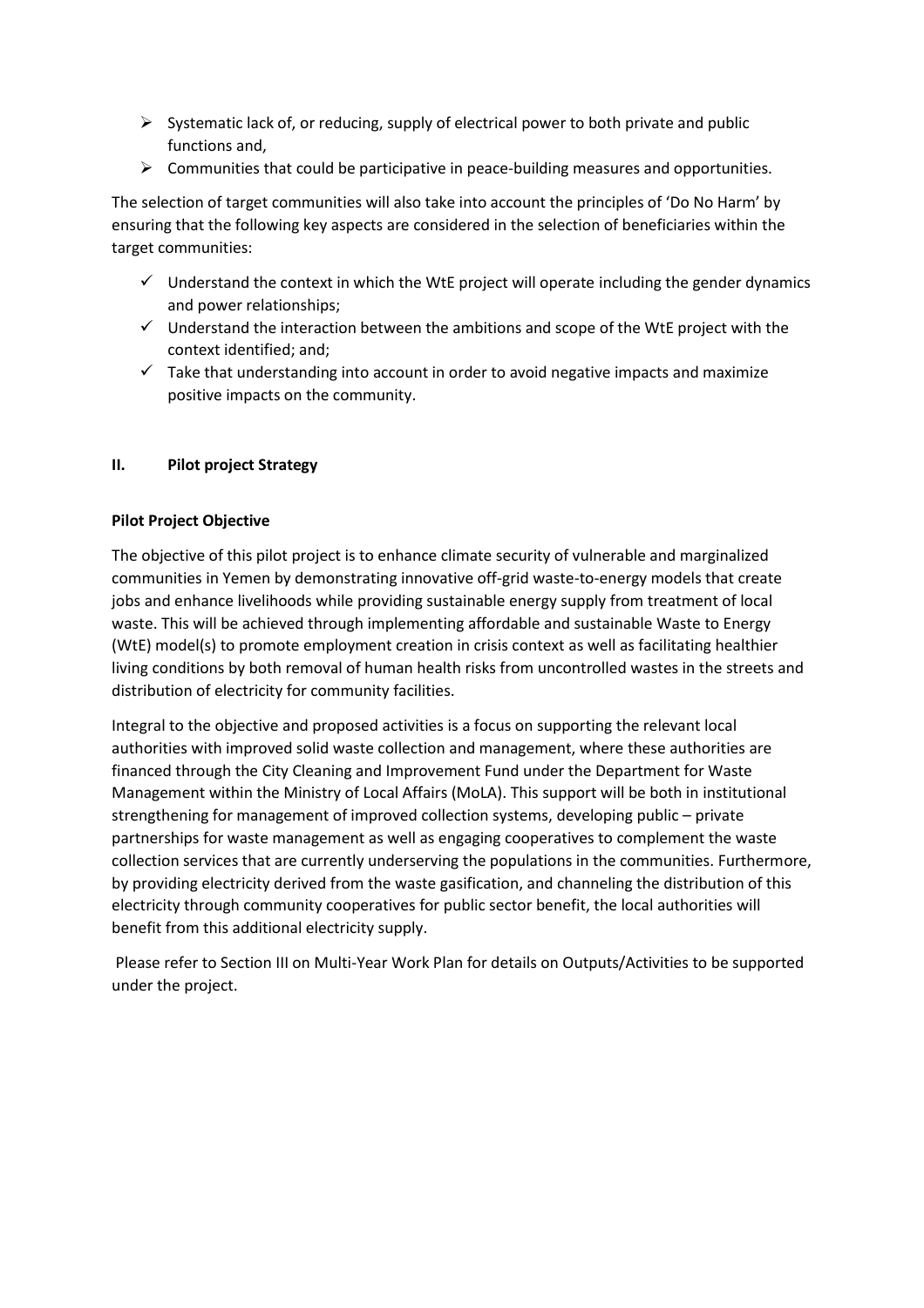- $\triangleright$  Systematic lack of, or reducing, supply of electrical power to both private and public functions and,
- $\triangleright$  Communities that could be participative in peace-building measures and opportunities.

The selection of target communities will also take into account the principles of 'Do No Harm' by ensuring that the following key aspects are considered in the selection of beneficiaries within the target communities:

- $\checkmark$  Understand the context in which the WtE project will operate including the gender dynamics and power relationships;
- $\checkmark$  Understand the interaction between the ambitions and scope of the WtE project with the context identified; and;
- $\checkmark$  Take that understanding into account in order to avoid negative impacts and maximize positive impacts on the community.

# **II. Pilot project Strategy**

# **Pilot Project Objective**

The objective of this pilot project is to enhance climate security of vulnerable and marginalized communities in Yemen by demonstrating innovative off-grid waste-to-energy models that create jobs and enhance livelihoods while providing sustainable energy supply from treatment of local waste. This will be achieved through implementing affordable and sustainable Waste to Energy (WtE) model(s) to promote employment creation in crisis context as well as facilitating healthier living conditions by both removal of human health risks from uncontrolled wastes in the streets and distribution of electricity for community facilities.

Integral to the objective and proposed activities is a focus on supporting the relevant local authorities with improved solid waste collection and management, where these authorities are financed through the City Cleaning and Improvement Fund under the Department for Waste Management within the Ministry of Local Affairs (MoLA). This support will be both in institutional strengthening for management of improved collection systems, developing public – private partnerships for waste management as well as engaging cooperatives to complement the waste collection services that are currently underserving the populations in the communities. Furthermore, by providing electricity derived from the waste gasification, and channeling the distribution of this electricity through community cooperatives for public sector benefit, the local authorities will benefit from this additional electricity supply.

Please refer to Section III on Multi-Year Work Plan for details on Outputs/Activities to be supported under the project.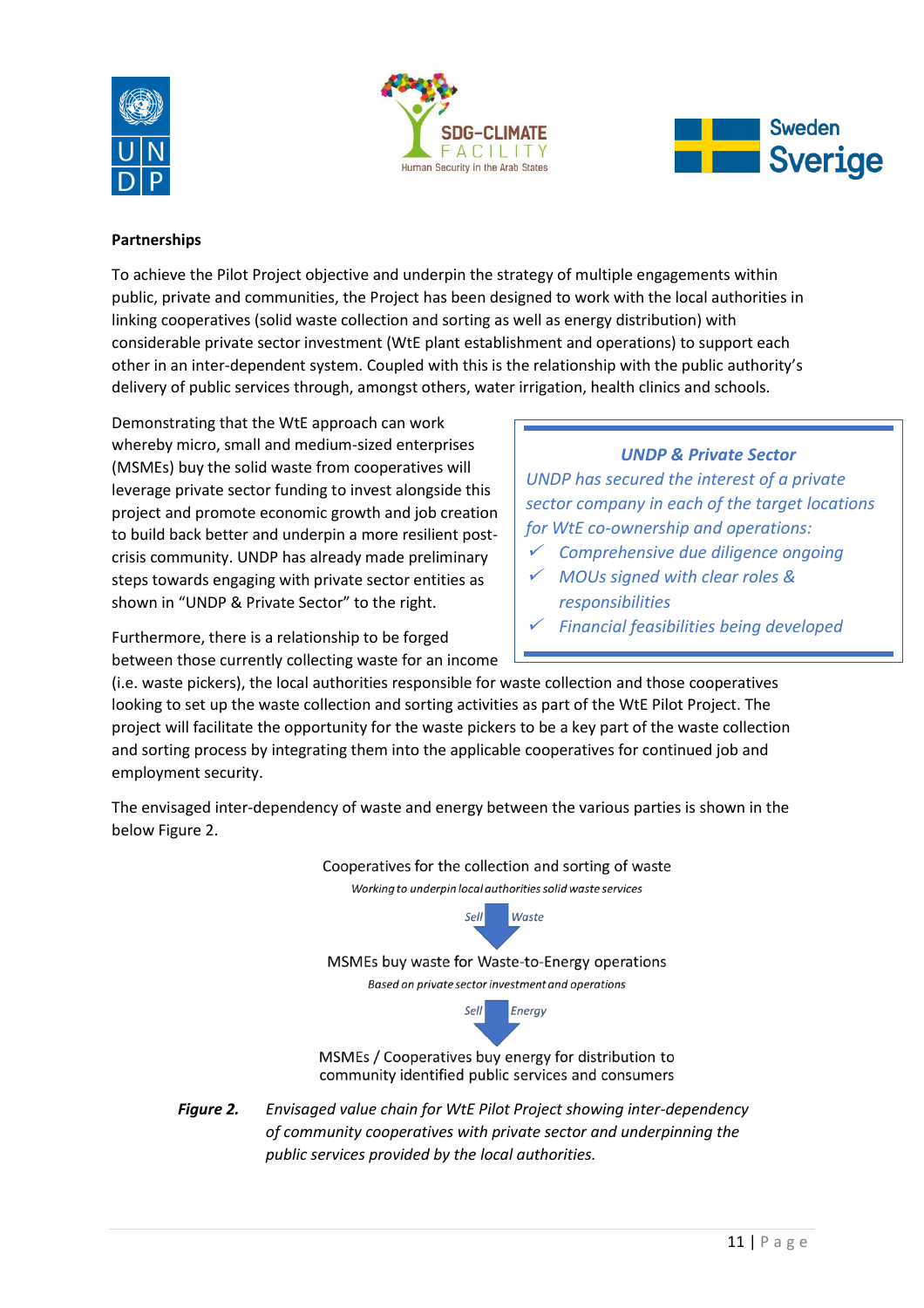





### **Partnerships**

To achieve the Pilot Project objective and underpin the strategy of multiple engagements within public, private and communities, the Project has been designed to work with the local authorities in linking cooperatives (solid waste collection and sorting as well as energy distribution) with considerable private sector investment (WtE plant establishment and operations) to support each other in an inter-dependent system. Coupled with this is the relationship with the public authority's delivery of public services through, amongst others, water irrigation, health clinics and schools.

Demonstrating that the WtE approach can work whereby micro, small and medium-sized enterprises (MSMEs) buy the solid waste from cooperatives will leverage private sector funding to invest alongside this project and promote economic growth and job creation to build back better and underpin a more resilient postcrisis community. UNDP has already made preliminary steps towards engaging with private sector entities as shown in "UNDP & Private Sector" to the right.

Furthermore, there is a relationship to be forged between those currently collecting waste for an income

# *UNDP & Private Sector*

*UNDP has secured the interest of a private sector company in each of the target locations for WtE co-ownership and operations:*

- 9 *Comprehensive due diligence ongoing*
- 9 *MOUs signed with clear roles & responsibilities*
- $\checkmark$ *Financial feasibilities being developed*

(i.e. waste pickers), the local authorities responsible for waste collection and those cooperatives looking to set up the waste collection and sorting activities as part of the WtE Pilot Project. The project will facilitate the opportunity for the waste pickers to be a key part of the waste collection and sorting process by integrating them into the applicable cooperatives for continued job and employment security.

The envisaged inter-dependency of waste and energy between the various parties is shown in the below Figure 2.



*Figure 2. Envisaged value chain for WtE Pilot Project showing inter-dependency of community cooperatives with private sector and underpinning the public services provided by the local authorities.*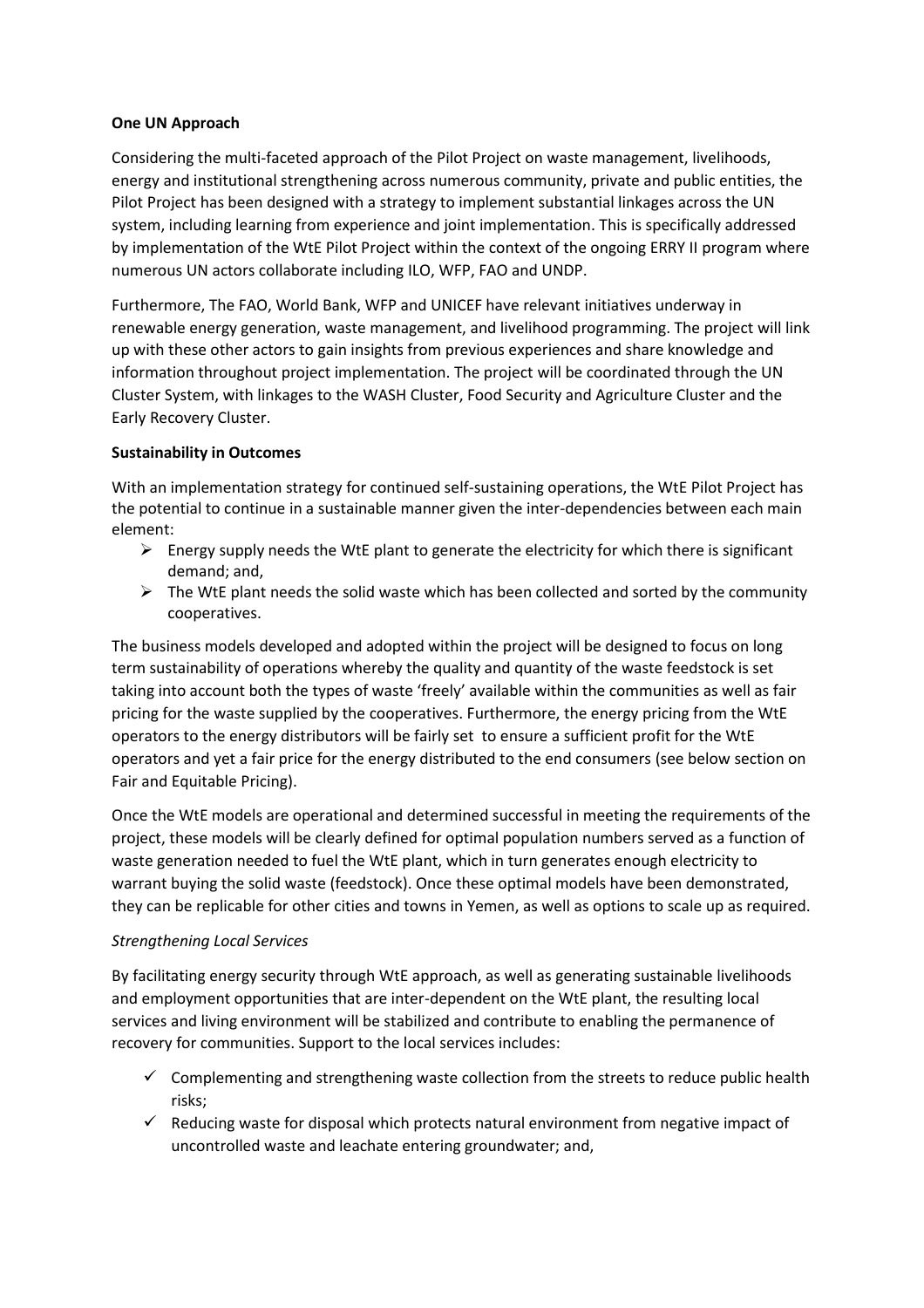### **One UN Approach**

Considering the multi-faceted approach of the Pilot Project on waste management, livelihoods, energy and institutional strengthening across numerous community, private and public entities, the Pilot Project has been designed with a strategy to implement substantial linkages across the UN system, including learning from experience and joint implementation. This is specifically addressed by implementation of the WtE Pilot Project within the context of the ongoing ERRY II program where numerous UN actors collaborate including ILO, WFP, FAO and UNDP.

Furthermore, The FAO, World Bank, WFP and UNICEF have relevant initiatives underway in renewable energy generation, waste management, and livelihood programming. The project will link up with these other actors to gain insights from previous experiences and share knowledge and information throughout project implementation. The project will be coordinated through the UN Cluster System, with linkages to the WASH Cluster, Food Security and Agriculture Cluster and the Early Recovery Cluster.

# **Sustainability in Outcomes**

With an implementation strategy for continued self-sustaining operations, the WtE Pilot Project has the potential to continue in a sustainable manner given the inter-dependencies between each main element:

- $\triangleright$  Energy supply needs the WtE plant to generate the electricity for which there is significant demand; and,
- $\triangleright$  The WtE plant needs the solid waste which has been collected and sorted by the community cooperatives.

The business models developed and adopted within the project will be designed to focus on long term sustainability of operations whereby the quality and quantity of the waste feedstock is set taking into account both the types of waste 'freely' available within the communities as well as fair pricing for the waste supplied by the cooperatives. Furthermore, the energy pricing from the WtE operators to the energy distributors will be fairly set to ensure a sufficient profit for the WtE operators and yet a fair price for the energy distributed to the end consumers (see below section on Fair and Equitable Pricing).

Once the WtE models are operational and determined successful in meeting the requirements of the project, these models will be clearly defined for optimal population numbers served as a function of waste generation needed to fuel the WtE plant, which in turn generates enough electricity to warrant buying the solid waste (feedstock). Once these optimal models have been demonstrated, they can be replicable for other cities and towns in Yemen, as well as options to scale up as required.

# *Strengthening Local Services*

By facilitating energy security through WtE approach, as well as generating sustainable livelihoods and employment opportunities that are inter-dependent on the WtE plant, the resulting local services and living environment will be stabilized and contribute to enabling the permanence of recovery for communities. Support to the local services includes:

- $\checkmark$  Complementing and strengthening waste collection from the streets to reduce public health risks;
- $\checkmark$  Reducing waste for disposal which protects natural environment from negative impact of uncontrolled waste and leachate entering groundwater; and,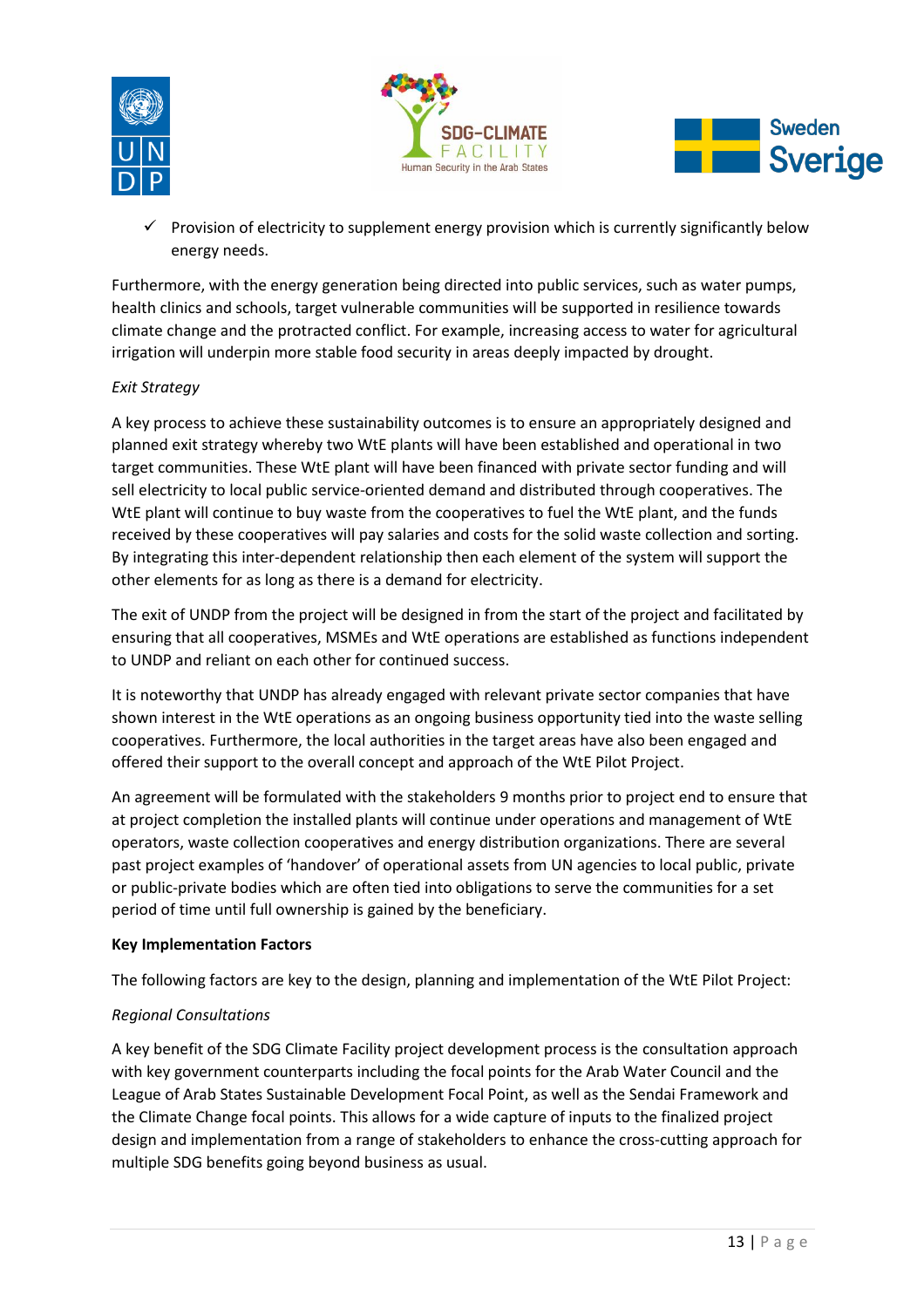





 $\checkmark$  Provision of electricity to supplement energy provision which is currently significantly below energy needs.

Furthermore, with the energy generation being directed into public services, such as water pumps, health clinics and schools, target vulnerable communities will be supported in resilience towards climate change and the protracted conflict. For example, increasing access to water for agricultural irrigation will underpin more stable food security in areas deeply impacted by drought.

# *Exit Strategy*

A key process to achieve these sustainability outcomes is to ensure an appropriately designed and planned exit strategy whereby two WtE plants will have been established and operational in two target communities. These WtE plant will have been financed with private sector funding and will sell electricity to local public service-oriented demand and distributed through cooperatives. The WtE plant will continue to buy waste from the cooperatives to fuel the WtE plant, and the funds received by these cooperatives will pay salaries and costs for the solid waste collection and sorting. By integrating this inter-dependent relationship then each element of the system will support the other elements for as long as there is a demand for electricity.

The exit of UNDP from the project will be designed in from the start of the project and facilitated by ensuring that all cooperatives, MSMEs and WtE operations are established as functions independent to UNDP and reliant on each other for continued success.

It is noteworthy that UNDP has already engaged with relevant private sector companies that have shown interest in the WtE operations as an ongoing business opportunity tied into the waste selling cooperatives. Furthermore, the local authorities in the target areas have also been engaged and offered their support to the overall concept and approach of the WtE Pilot Project.

An agreement will be formulated with the stakeholders 9 months prior to project end to ensure that at project completion the installed plants will continue under operations and management of WtE operators, waste collection cooperatives and energy distribution organizations. There are several past project examples of 'handover' of operational assets from UN agencies to local public, private or public-private bodies which are often tied into obligations to serve the communities for a set period of time until full ownership is gained by the beneficiary.

# **Key Implementation Factors**

The following factors are key to the design, planning and implementation of the WtE Pilot Project:

# *Regional Consultations*

A key benefit of the SDG Climate Facility project development process is the consultation approach with key government counterparts including the focal points for the Arab Water Council and the League of Arab States Sustainable Development Focal Point, as well as the Sendai Framework and the Climate Change focal points. This allows for a wide capture of inputs to the finalized project design and implementation from a range of stakeholders to enhance the cross-cutting approach for multiple SDG benefits going beyond business as usual.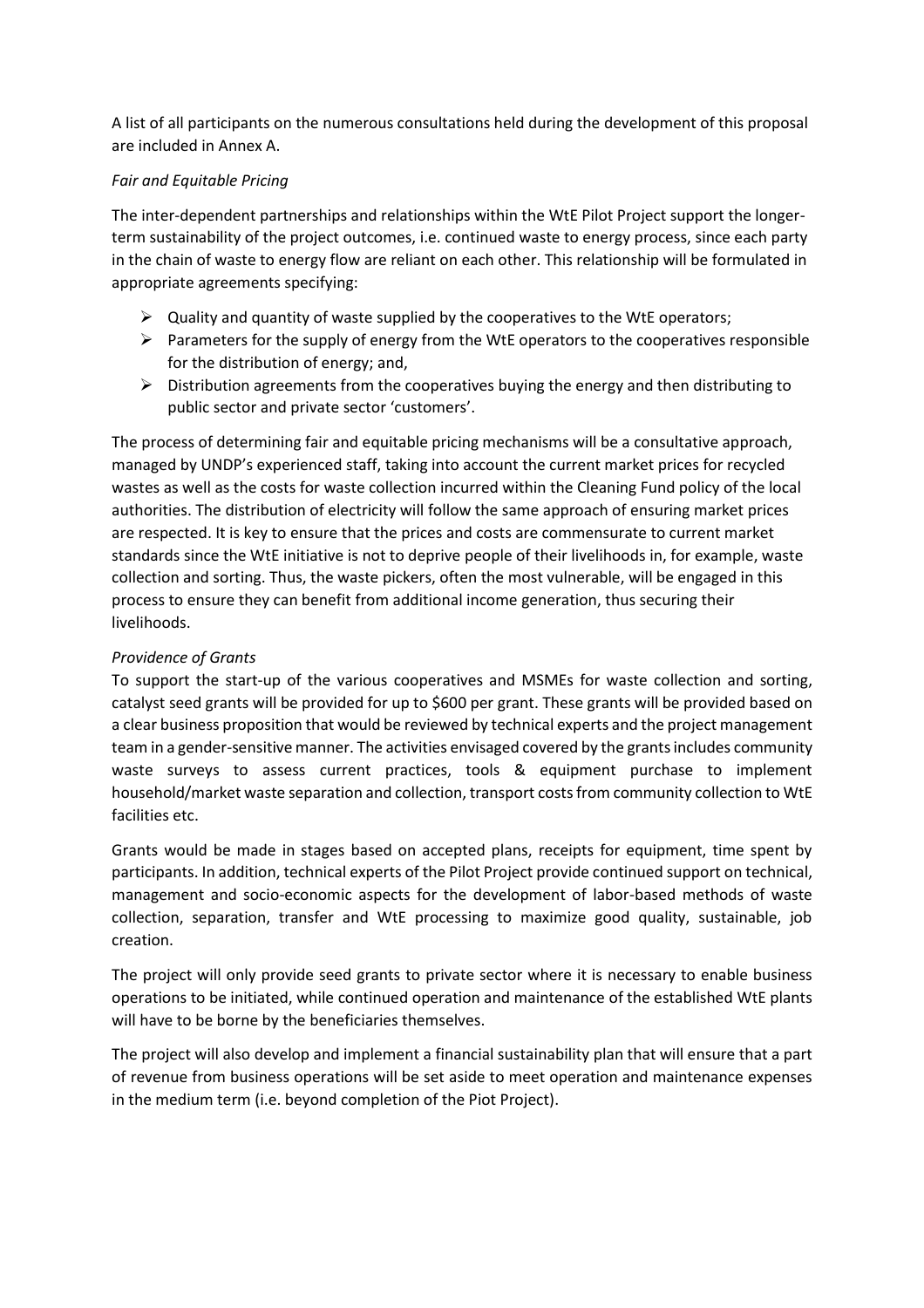A list of all participants on the numerous consultations held during the development of this proposal are included in Annex A.

### *Fair and Equitable Pricing*

The inter-dependent partnerships and relationships within the WtE Pilot Project support the longerterm sustainability of the project outcomes, i.e. continued waste to energy process, since each party in the chain of waste to energy flow are reliant on each other. This relationship will be formulated in appropriate agreements specifying:

- $\triangleright$  Quality and quantity of waste supplied by the cooperatives to the WtE operators;
- $\triangleright$  Parameters for the supply of energy from the WtE operators to the cooperatives responsible for the distribution of energy; and,
- $\triangleright$  Distribution agreements from the cooperatives buying the energy and then distributing to public sector and private sector 'customers'.

The process of determining fair and equitable pricing mechanisms will be a consultative approach, managed by UNDP's experienced staff, taking into account the current market prices for recycled wastes as well as the costs for waste collection incurred within the Cleaning Fund policy of the local authorities. The distribution of electricity will follow the same approach of ensuring market prices are respected. It is key to ensure that the prices and costs are commensurate to current market standards since the WtE initiative is not to deprive people of their livelihoods in, for example, waste collection and sorting. Thus, the waste pickers, often the most vulnerable, will be engaged in this process to ensure they can benefit from additional income generation, thus securing their livelihoods.

# *Providence of Grants*

To support the start-up of the various cooperatives and MSMEs for waste collection and sorting, catalyst seed grants will be provided for up to \$600 per grant. These grants will be provided based on a clear business proposition that would be reviewed by technical experts and the project management team in a gender-sensitive manner. The activities envisaged covered by the grants includes community waste surveys to assess current practices, tools & equipment purchase to implement household/market waste separation and collection, transport costs from community collection to WtE facilities etc.

Grants would be made in stages based on accepted plans, receipts for equipment, time spent by participants. In addition, technical experts of the Pilot Project provide continued support on technical, management and socio-economic aspects for the development of labor-based methods of waste collection, separation, transfer and WtE processing to maximize good quality, sustainable, job creation.

The project will only provide seed grants to private sector where it is necessary to enable business operations to be initiated, while continued operation and maintenance of the established WtE plants will have to be borne by the beneficiaries themselves.

The project will also develop and implement a financial sustainability plan that will ensure that a part of revenue from business operations will be set aside to meet operation and maintenance expenses in the medium term (i.e. beyond completion of the Piot Project).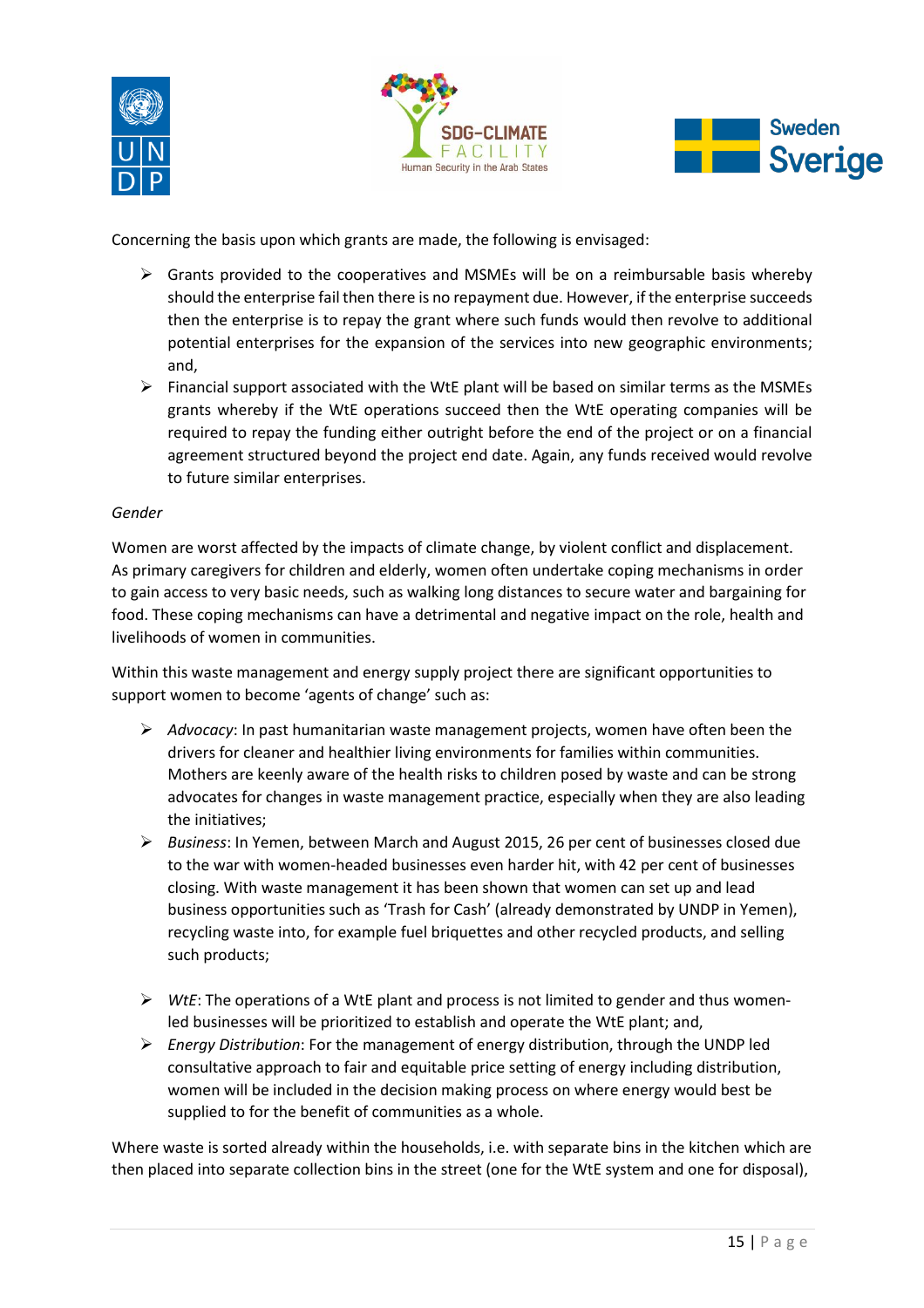





Concerning the basis upon which grants are made, the following is envisaged:

- $\triangleright$  Grants provided to the cooperatives and MSMEs will be on a reimbursable basis whereby should the enterprise fail then there is no repayment due. However, if the enterprise succeeds then the enterprise is to repay the grant where such funds would then revolve to additional potential enterprises for the expansion of the services into new geographic environments; and,
- $\triangleright$  Financial support associated with the WtE plant will be based on similar terms as the MSMEs grants whereby if the WtE operations succeed then the WtE operating companies will be required to repay the funding either outright before the end of the project or on a financial agreement structured beyond the project end date. Again, any funds received would revolve to future similar enterprises.

### *Gender*

Women are worst affected by the impacts of climate change, by violent conflict and displacement. As primary caregivers for children and elderly, women often undertake coping mechanisms in order to gain access to very basic needs, such as walking long distances to secure water and bargaining for food. These coping mechanisms can have a detrimental and negative impact on the role, health and livelihoods of women in communities.

Within this waste management and energy supply project there are significant opportunities to support women to become 'agents of change' such as:

- ¾ *Advocacy*: In past humanitarian waste management projects, women have often been the drivers for cleaner and healthier living environments for families within communities. Mothers are keenly aware of the health risks to children posed by waste and can be strong advocates for changes in waste management practice, especially when they are also leading the initiatives;
- ¾ *Business*: In Yemen, between March and August 2015, 26 per cent of businesses closed due to the war with women-headed businesses even harder hit, with 42 per cent of businesses closing. With waste management it has been shown that women can set up and lead business opportunities such as 'Trash for Cash' (already demonstrated by UNDP in Yemen), recycling waste into, for example fuel briquettes and other recycled products, and selling such products;
- ¾ *WtE*: The operations of a WtE plant and process is not limited to gender and thus womenled businesses will be prioritized to establish and operate the WtE plant; and,
- ¾ *Energy Distribution*: For the management of energy distribution, through the UNDP led consultative approach to fair and equitable price setting of energy including distribution, women will be included in the decision making process on where energy would best be supplied to for the benefit of communities as a whole.

Where waste is sorted already within the households, i.e. with separate bins in the kitchen which are then placed into separate collection bins in the street (one for the WtE system and one for disposal),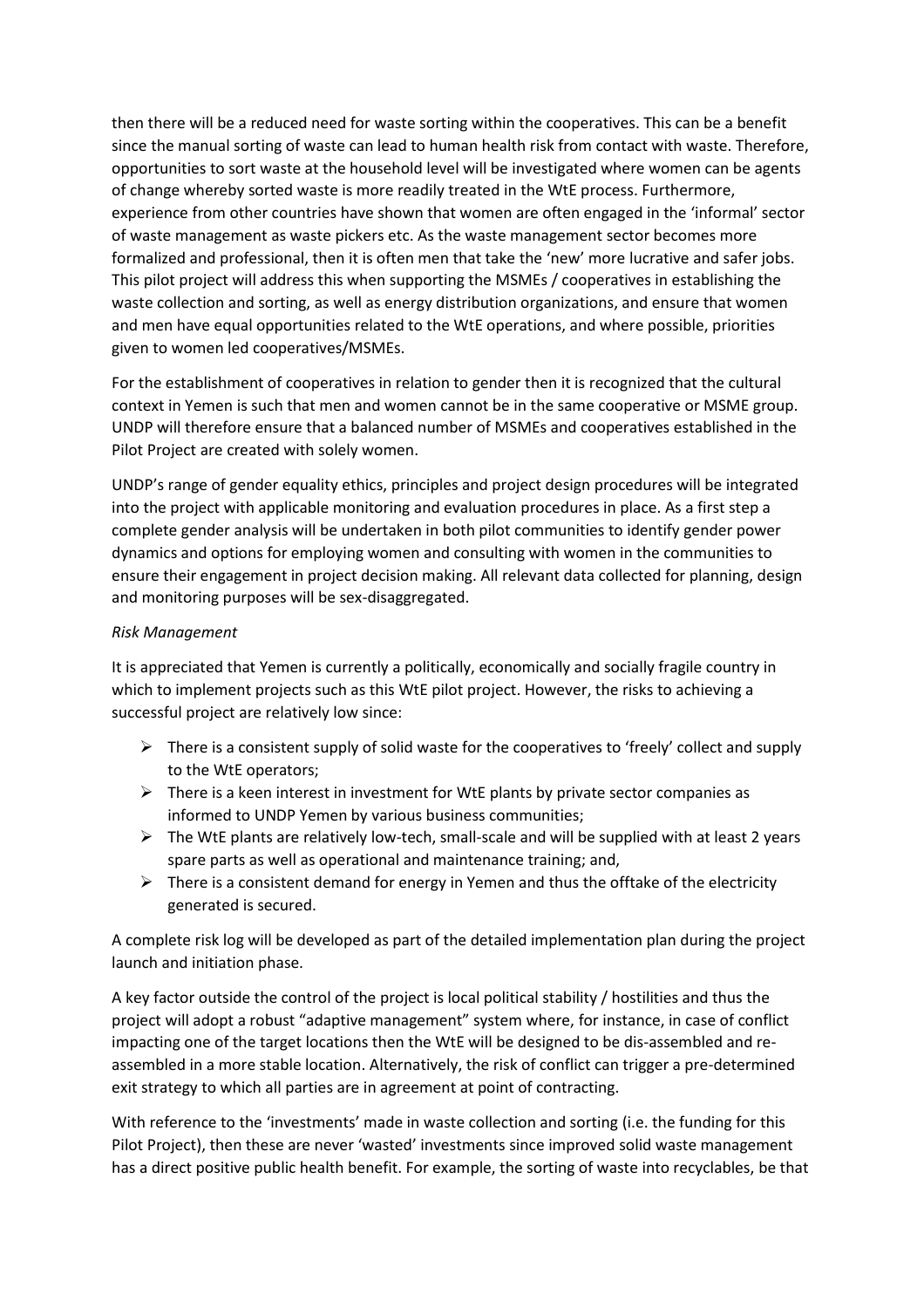then there will be a reduced need for waste sorting within the cooperatives. This can be a benefit since the manual sorting of waste can lead to human health risk from contact with waste. Therefore, opportunities to sort waste at the household level will be investigated where women can be agents of change whereby sorted waste is more readily treated in the WtE process. Furthermore, experience from other countries have shown that women are often engaged in the 'informal' sector of waste management as waste pickers etc. As the waste management sector becomes more formalized and professional, then it is often men that take the 'new' more lucrative and safer jobs. This pilot project will address this when supporting the MSMEs / cooperatives in establishing the waste collection and sorting, as well as energy distribution organizations, and ensure that women and men have equal opportunities related to the WtE operations, and where possible, priorities given to women led cooperatives/MSMEs.

For the establishment of cooperatives in relation to gender then it is recognized that the cultural context in Yemen is such that men and women cannot be in the same cooperative or MSME group. UNDP will therefore ensure that a balanced number of MSMEs and cooperatives established in the Pilot Project are created with solely women.

UNDP's range of gender equality ethics, principles and project design procedures will be integrated into the project with applicable monitoring and evaluation procedures in place. As a first step a complete gender analysis will be undertaken in both pilot communities to identify gender power dynamics and options for employing women and consulting with women in the communities to ensure their engagement in project decision making. All relevant data collected for planning, design and monitoring purposes will be sex-disaggregated.

### *Risk Management*

It is appreciated that Yemen is currently a politically, economically and socially fragile country in which to implement projects such as this WtE pilot project. However, the risks to achieving a successful project are relatively low since:

- $\triangleright$  There is a consistent supply of solid waste for the cooperatives to 'freely' collect and supply to the WtE operators;
- $\triangleright$  There is a keen interest in investment for WtE plants by private sector companies as informed to UNDP Yemen by various business communities;
- $\triangleright$  The WtE plants are relatively low-tech, small-scale and will be supplied with at least 2 years spare parts as well as operational and maintenance training; and,
- $\triangleright$  There is a consistent demand for energy in Yemen and thus the offtake of the electricity generated is secured.

A complete risk log will be developed as part of the detailed implementation plan during the project launch and initiation phase.

A key factor outside the control of the project is local political stability / hostilities and thus the project will adopt a robust "adaptive management" system where, for instance, in case of conflict impacting one of the target locations then the WtE will be designed to be dis-assembled and reassembled in a more stable location. Alternatively, the risk of conflict can trigger a pre-determined exit strategy to which all parties are in agreement at point of contracting.

With reference to the 'investments' made in waste collection and sorting (i.e. the funding for this Pilot Project), then these are never 'wasted' investments since improved solid waste management has a direct positive public health benefit. For example, the sorting of waste into recyclables, be that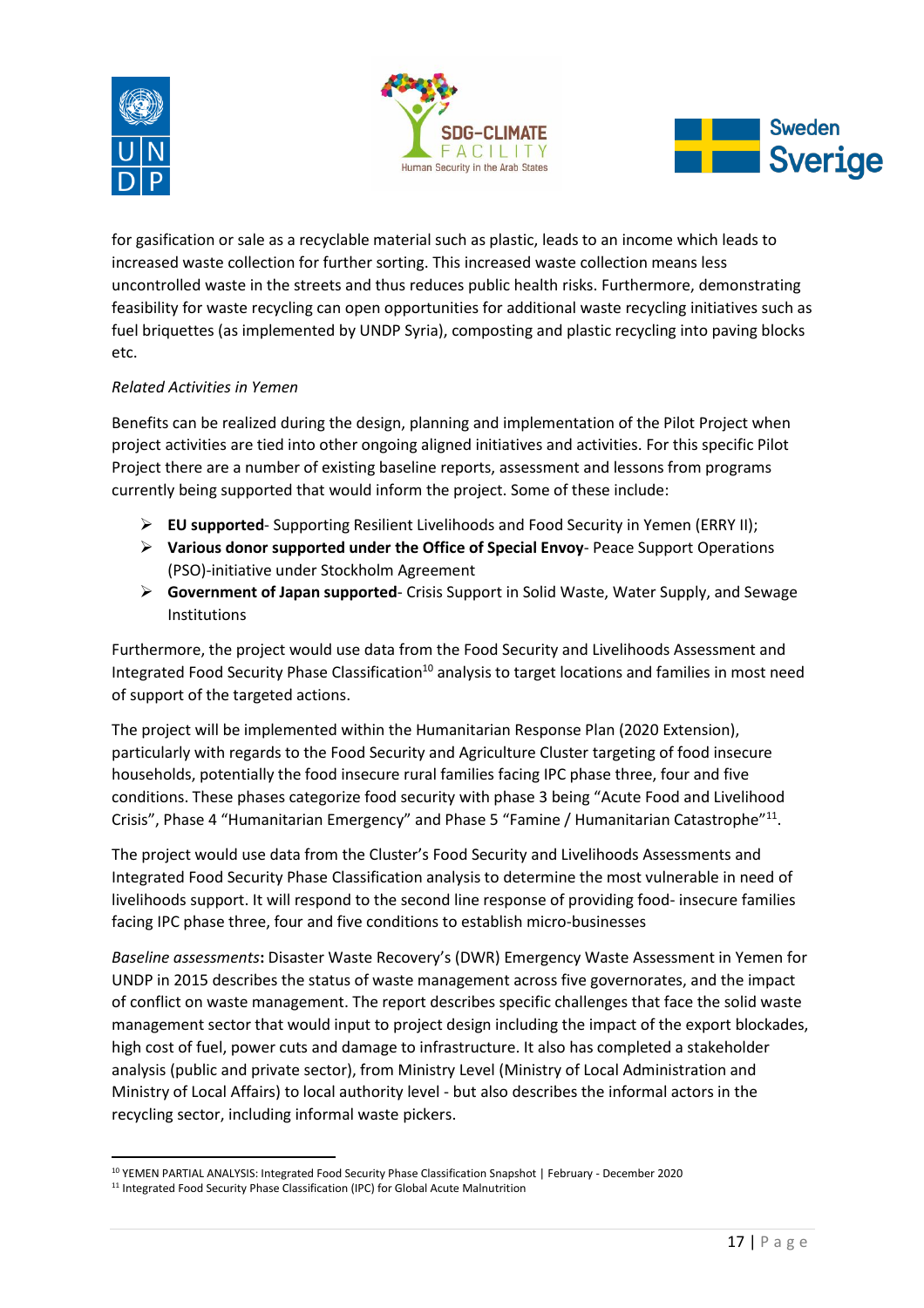





for gasification or sale as a recyclable material such as plastic, leads to an income which leads to increased waste collection for further sorting. This increased waste collection means less uncontrolled waste in the streets and thus reduces public health risks. Furthermore, demonstrating feasibility for waste recycling can open opportunities for additional waste recycling initiatives such as fuel briquettes (as implemented by UNDP Syria), composting and plastic recycling into paving blocks etc.

# *Related Activities in Yemen*

Benefits can be realized during the design, planning and implementation of the Pilot Project when project activities are tied into other ongoing aligned initiatives and activities. For this specific Pilot Project there are a number of existing baseline reports, assessment and lessons from programs currently being supported that would inform the project. Some of these include:

- ¾ **EU supported** Supporting Resilient Livelihoods and Food Security in Yemen (ERRY II);
- ¾ **Various donor supported under the Office of Special Envoy** Peace Support Operations (PSO)-initiative under Stockholm Agreement
- ¾ **Government of Japan supported** Crisis Support in Solid Waste, Water Supply, and Sewage **Institutions**

Furthermore, the project would use data from the Food Security and Livelihoods Assessment and Integrated Food Security Phase Classification<sup>10</sup> analysis to target locations and families in most need of support of the targeted actions.

The project will be implemented within the Humanitarian Response Plan (2020 Extension), particularly with regards to the Food Security and Agriculture Cluster targeting of food insecure households, potentially the food insecure rural families facing IPC phase three, four and five conditions. These phases categorize food security with phase 3 being "Acute Food and Livelihood Crisis", Phase 4 "Humanitarian Emergency" and Phase 5 "Famine / Humanitarian Catastrophe"<sup>11</sup>.

The project would use data from the Cluster's Food Security and Livelihoods Assessments and Integrated Food Security Phase Classification analysis to determine the most vulnerable in need of livelihoods support. It will respond to the second line response of providing food- insecure families facing IPC phase three, four and five conditions to establish micro-businesses

*Baseline assessments***:** Disaster Waste Recovery's (DWR) Emergency Waste Assessment in Yemen for UNDP in 2015 describes the status of waste management across five governorates, and the impact of conflict on waste management. The report describes specific challenges that face the solid waste management sector that would input to project design including the impact of the export blockades, high cost of fuel, power cuts and damage to infrastructure. It also has completed a stakeholder analysis (public and private sector), from Ministry Level (Ministry of Local Administration and Ministry of Local Affairs) to local authority level - but also describes the informal actors in the recycling sector, including informal waste pickers.

<sup>10</sup> YEMEN PARTIAL ANALYSIS: Integrated Food Security Phase Classification Snapshot | February - December 2020

<sup>&</sup>lt;sup>11</sup> Integrated Food Security Phase Classification (IPC) for Global Acute Malnutrition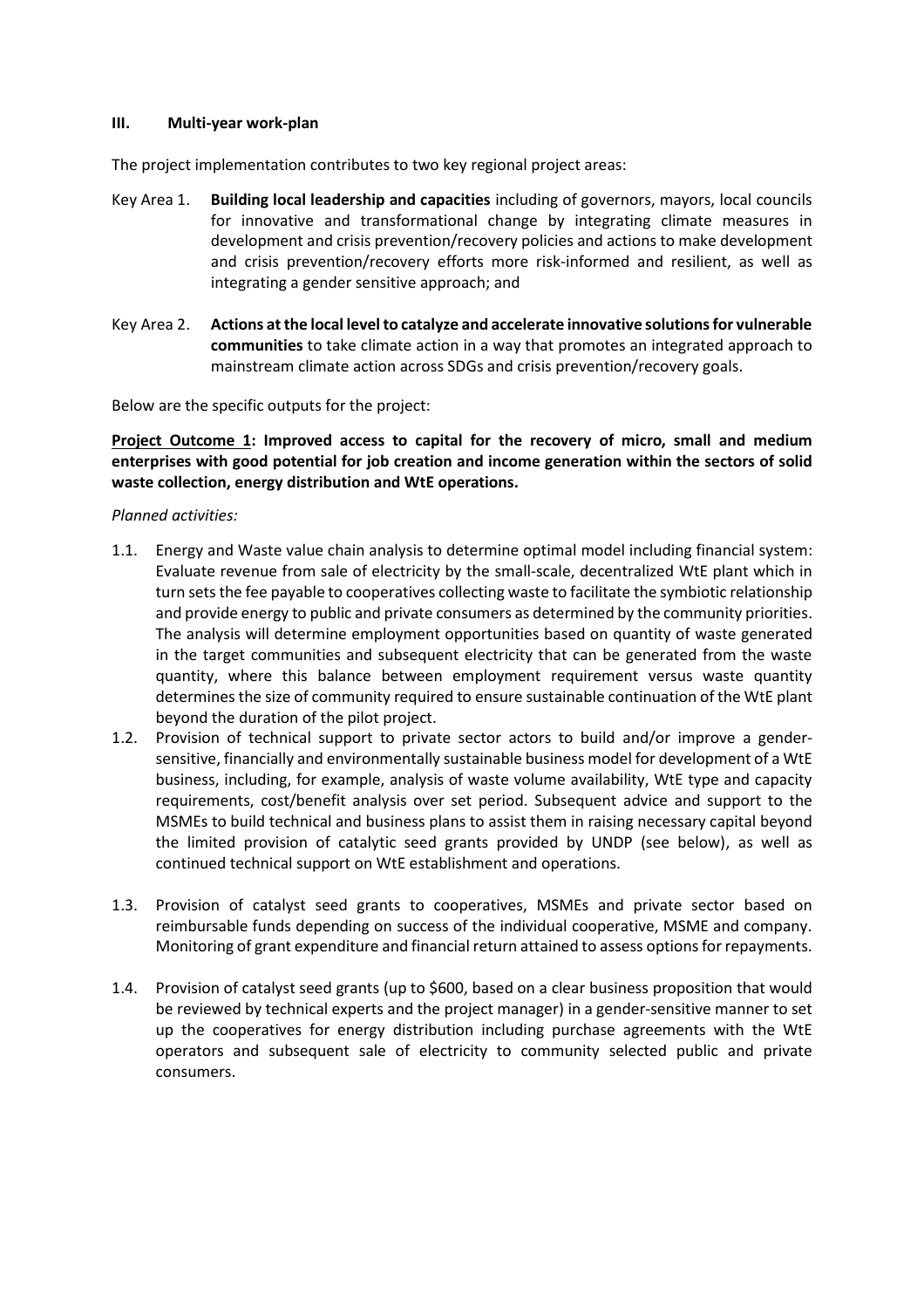#### **III. Multi-year work-plan**

The project implementation contributes to two key regional project areas:

- Key Area 1. **Building local leadership and capacities** including of governors, mayors, local councils for innovative and transformational change by integrating climate measures in development and crisis prevention/recovery policies and actions to make development and crisis prevention/recovery efforts more risk-informed and resilient, as well as integrating a gender sensitive approach; and
- Key Area 2. **Actions at the local level to catalyze and accelerate innovative solutions for vulnerable communities** to take climate action in a way that promotes an integrated approach to mainstream climate action across SDGs and crisis prevention/recovery goals.

Below are the specific outputs for the project:

Project Outcome 1: Improved access to capital for the recovery of micro, small and medium **enterprises with good potential for job creation and income generation within the sectors of solid**  waste collection, energy distribution and WtE operations.

#### *Planned activities:*

- 1.1. Energy and Waste value chain analysis to determine optimal model including financial system: Evaluate revenue from sale of electricity by the small-scale, decentralized WtE plant which in turn sets the fee payable to cooperatives collecting waste to facilitate the symbiotic relationship and provide energy to public and private consumers as determined by the community priorities. The analysis will determine employment opportunities based on quantity of waste generated in the target communities and subsequent electricity that can be generated from the waste quantity, where this balance between employment requirement versus waste quantity determines the size of community required to ensure sustainable continuation of the WtE plant beyond the duration of the pilot project.
- 1.2. Provision of technical support to private sector actors to build and/or improve a gendersensitive, financially and environmentally sustainable business model for development of a WtE business, including, for example, analysis of waste volume availability, WtE type and capacity requirements, cost/benefit analysis over set period. Subsequent advice and support to the MSMEs to build technical and business plans to assist them in raising necessary capital beyond the limited provision of catalytic seed grants provided by UNDP (see below), as well as continued technical support on WtE establishment and operations.
- 1.3. Provision of catalyst seed grants to cooperatives, MSMEs and private sector based on reimbursable funds depending on success of the individual cooperative, MSME and company. Monitoring of grant expenditure and financial return attained to assess options for repayments.
- 1.4. Provision of catalyst seed grants (up to \$600, based on a clear business proposition that would be reviewed by technical experts and the project manager) in a gender-sensitive manner to set up the cooperatives for energy distribution including purchase agreements with the WtE operators and subsequent sale of electricity to community selected public and private consumers.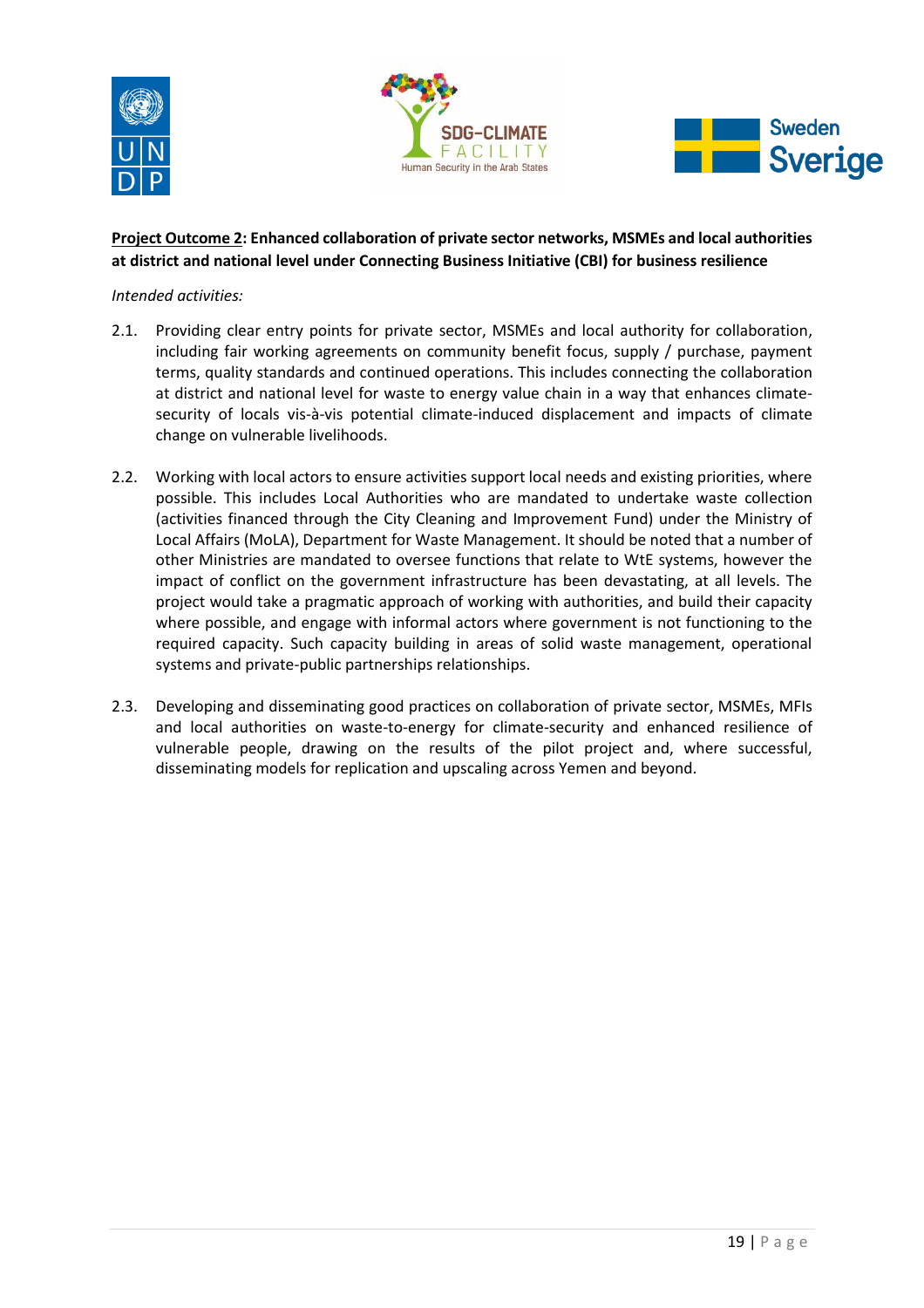





# **Project Outcome Ϯ͗ Enhanced collaboration of private sector networks͕ MSMEs and local authorities at district and national level under Connecting Business Initiative ;CBIͿ for business resilience**

### *Intended activities:*

- 2.1. Providing clear entry points for private sector, MSMEs and local authority for collaboration, including fair working agreements on community benefit focus, supply / purchase, payment terms, quality standards and continued operations. This includes connecting the collaboration at district and national level for waste to energy value chain in a way that enhances climatesecurity of locals vis-à-vis potential climate-induced displacement and impacts of climate change on vulnerable livelihoods.
- 2.2. Working with local actors to ensure activities support local needs and existing priorities, where possible. This includes Local Authorities who are mandated to undertake waste collection (activities financed through the City Cleaning and Improvement Fund) under the Ministry of Local Affairs (MoLA), Department for Waste Management. It should be noted that a number of other Ministries are mandated to oversee functions that relate to WtE systems, however the impact of conflict on the government infrastructure has been devastating, at all levels. The project would take a pragmatic approach of working with authorities, and build their capacity where possible, and engage with informal actors where government is not functioning to the required capacity. Such capacity building in areas of solid waste management, operational systems and private-public partnerships relationships.
- 2.3. Developing and disseminating good practices on collaboration of private sector, MSMEs, MFIs and local authorities on waste-to-energy for climate-security and enhanced resilience of vulnerable people, drawing on the results of the pilot project and, where successful, disseminating models for replication and upscaling across Yemen and beyond.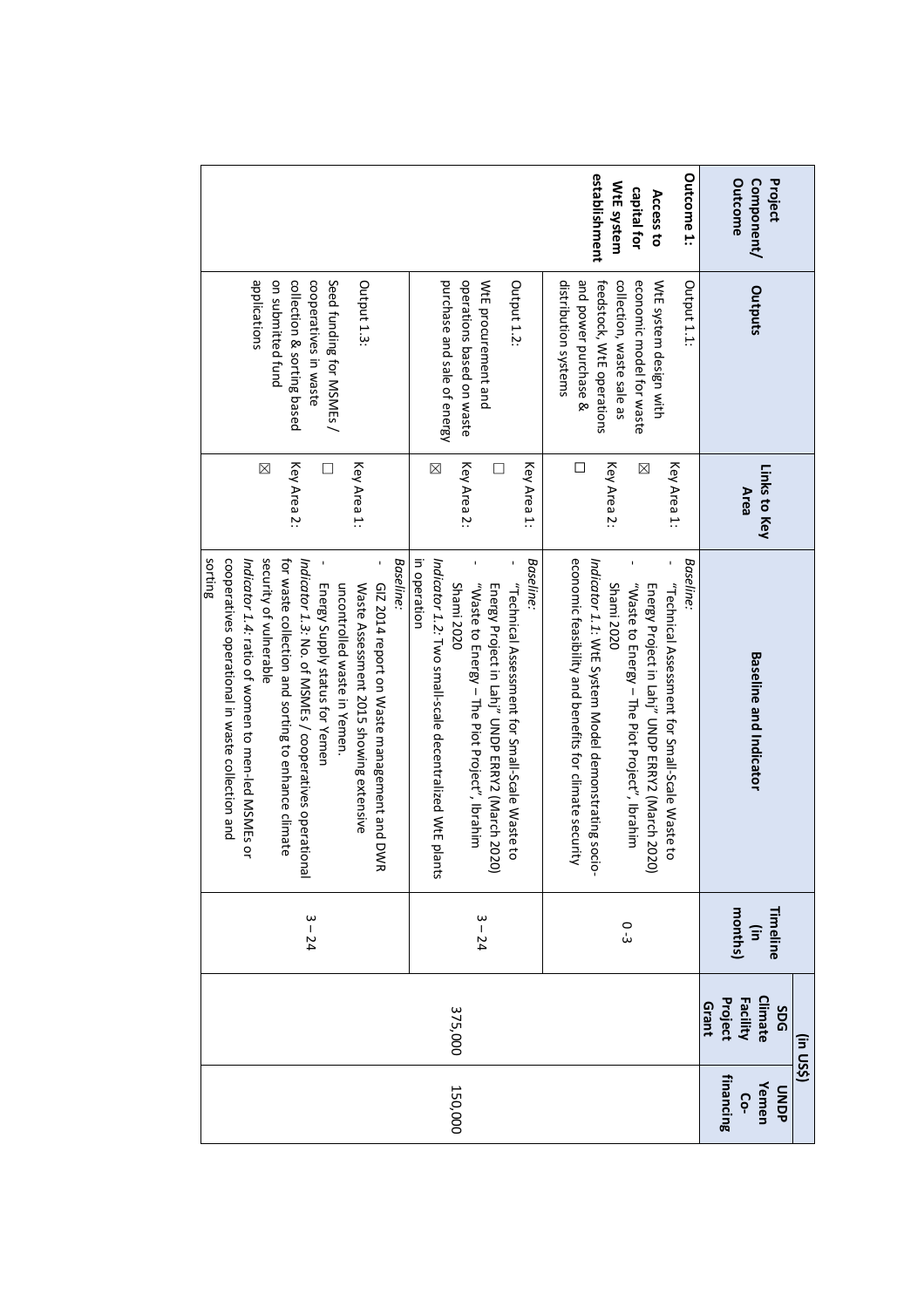|                                        |                                                                                                        |                                 |                                                                                                                                                                                                                                                                  |                                               | (in US\$)                                             |                                  |
|----------------------------------------|--------------------------------------------------------------------------------------------------------|---------------------------------|------------------------------------------------------------------------------------------------------------------------------------------------------------------------------------------------------------------------------------------------------------------|-----------------------------------------------|-------------------------------------------------------|----------------------------------|
| Outcome<br>Project<br>Component/       | Outputs                                                                                                | Links to Key<br><b>Area</b>     | <b>Baseline and Indicator</b>                                                                                                                                                                                                                                    | months)<br>Timeline<br>$\widehat{\mathbf{e}}$ | Climate<br>Facility<br>Project<br>Grant<br><b>SDG</b> | financing<br>Yemen<br>ONDP<br>ငှ |
| Outcome 1:<br>capital for<br>Access to | economic model for waste<br>WtE system design with<br>Output 1.1:                                      | Key Area 1:<br>X                | Baseline:<br>Energy Project in Lahj" UNDP ERRY2 (March 2020)<br>"Technical Assessment tor Small-Scale Naste to                                                                                                                                                   |                                               |                                                       |                                  |
| establishment<br>WtE system            | and power purchase &<br>distribution systems<br>collection, waste sale as<br>feedstock, WtE operations | Key Area 2:<br>□                | economic feasibility and benefits for climate security<br>Indicator 1.1: WtE System Model demonstrating socio-<br>"Waste to Energy - The Piot Project", Ibrahim<br>Shami 2020                                                                                    | 0<br>ئ                                        |                                                       |                                  |
|                                        | operations based on waste<br>purchase and sale of energy<br>WtE procurement and<br>Output 1.2:         | Key Area 2:<br>Key Area 1:<br>⊠ | in operation<br>Baseline:<br>Indicator 1.7: Two small-scale deceptralised NYtE plants<br>"Waste to Energy – The Piot Project", Ibrahim<br><b>Shami 2020</b><br>Energy Project in Lahj" UNDP ERRY2 (March 2020)<br>"Technical Assessment for Small-Scale Waste to | $3 - 24$                                      | 375,000                                               | 150,000                          |
|                                        | Seed funding for MSMEs /<br>Output 1.3:                                                                | Key Area 1:                     | Baseline:<br>GIZ 2014 report on Waste management and DWR<br>Energy Supply status for Yemen<br>uncontrolled waste in Yemen.<br>Waste Assessment 2015 showing extensive                                                                                            |                                               |                                                       |                                  |
|                                        | applications<br>cooperatives in waste<br>on submitted fund<br>collection & sorting based               | Key Area 2:<br>$\boxtimes$      | cooperatives operational in waste collection and<br>security of vulnerable<br>sorting<br>for waste collection and sorting to enhance climate<br>Indicator 1.3: No. of MSMEs / cooperatives operational<br>Indicator 1.4: ratio of women to men-led MSMEs or      | $3 - 24$                                      |                                                       |                                  |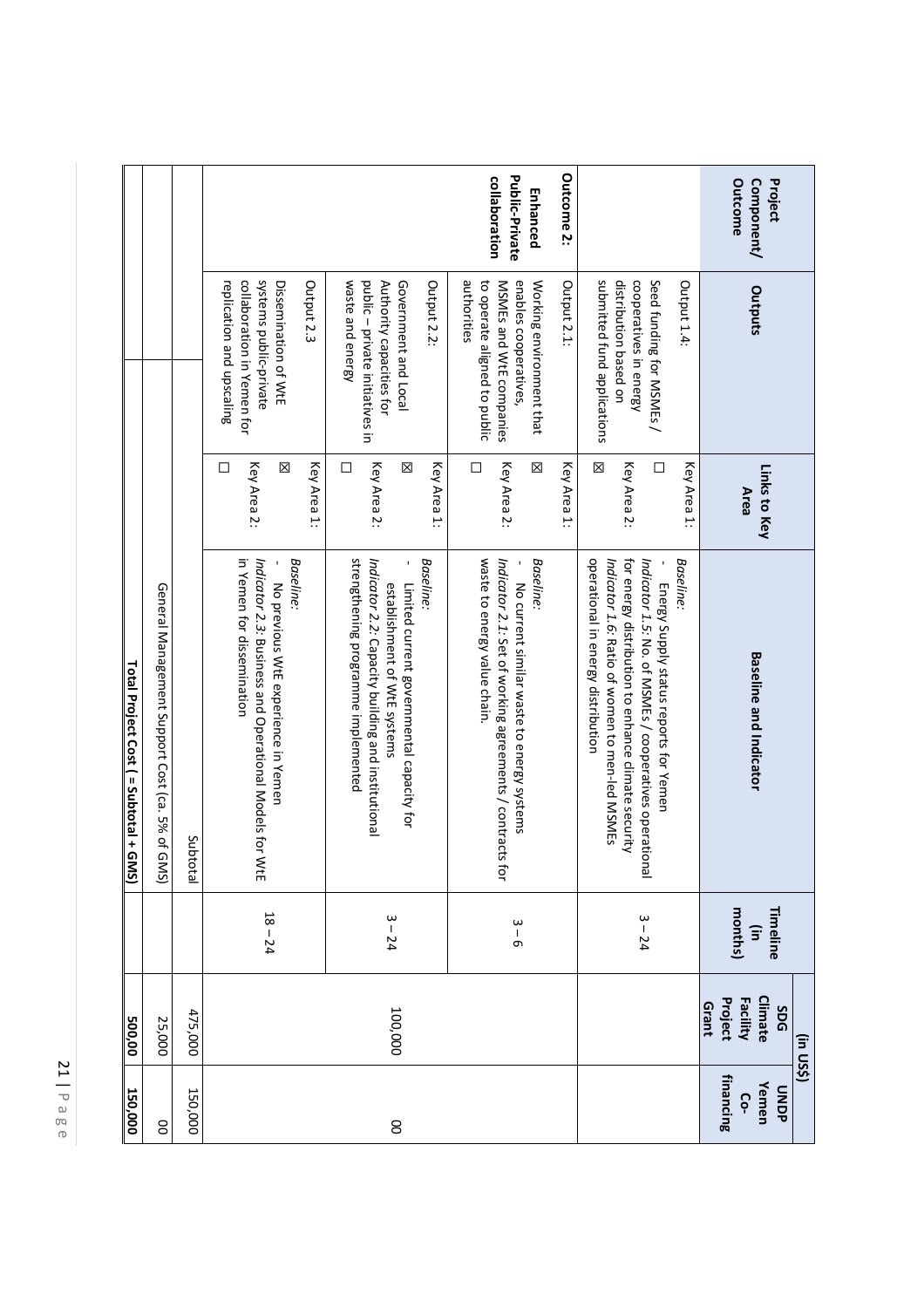| 150,000                           | 500,00                                                      |                                               | Total Project Cost ( = Subtotal + GMS)                                                                                                                                                                                                                       |                                           |                                                                                                                                            |                                                           |
|-----------------------------------|-------------------------------------------------------------|-----------------------------------------------|--------------------------------------------------------------------------------------------------------------------------------------------------------------------------------------------------------------------------------------------------------------|-------------------------------------------|--------------------------------------------------------------------------------------------------------------------------------------------|-----------------------------------------------------------|
| 8                                 | 25,000                                                      |                                               | General Management Support Cost (ca. 5% of GMS)                                                                                                                                                                                                              |                                           |                                                                                                                                            |                                                           |
| 150,000                           | 475,000                                                     |                                               | Subtotal                                                                                                                                                                                                                                                     |                                           |                                                                                                                                            |                                                           |
|                                   |                                                             | $18 - 24$                                     | Baseline.<br>in Yemen for dissemination<br>Indicator 2.3: Business and Operational Models for WtE<br>No previous WtE experience in Yemen                                                                                                                     | Key Area 2:<br>Key Area 1:<br>区<br>□      | systems public-private<br>collaboration in Yemen for<br>Output 2.3<br>Dissemination of WtE<br>replication and upscaling                    |                                                           |
| 8                                 | 100,000                                                     | $3 - 24$                                      | strengthening programme implemented<br>Indicator 2.2: Capacity building and institutional<br>Baseline:<br>Limited current governmental capacity for<br>establishment of WtE systems                                                                          | Key Area 2:<br>Key Area 1:<br>区<br>□      | public - private initiatives in<br>Government and Local<br>waste and energy<br>Authority capacities for<br>Output 2.2:                     |                                                           |
|                                   |                                                             | $3 - 6$                                       | waste to energy value chain.<br>Baseline.<br>Indicator 2.1: Set of working agreements / contracts<br>No current similar waste to energy systems<br>ţar                                                                                                       | Key Area 2:<br>Key Area 1:<br>□<br>⊠      | authorities<br>enables cooperatives,<br>Output 2.1:<br>to operate aligned to public<br>MSMEs and WtE companies<br>Working environment that | Outcome 2:<br>Public-Private<br>collaboration<br>Enhanced |
|                                   |                                                             | $3 - 24$                                      | operational in energy distribution<br>for energy distribution to enhance climate security<br>Baseline.<br>Indicator 1.6: Ratio of women to men-led MSMEs<br>Indicator 1.5: No. of MSMEs / cooperatives operational<br>Energy Supply status reports for Yemen | X<br>Key Area 2:<br>Key Area 1:<br>$\Box$ | cooperatives in energy<br>Seed funding for MSMEs<br>submitted fund applications<br>distribution based on<br>Output 1.4:                    |                                                           |
| financing<br>Yemen<br>dano<br>Ċo- | Climate<br>Facility<br>Project<br>Grant<br>SDG<br>(in US\$) | months)<br>Timeline<br>$\widehat{\mathbf{u}}$ | <b>Baseline and Indicator</b>                                                                                                                                                                                                                                | Links to Key<br><b>Area</b>               | Outputs                                                                                                                                    | Outcome<br>Component/<br>Project                          |

 $\mathbb{Z}$ | Page